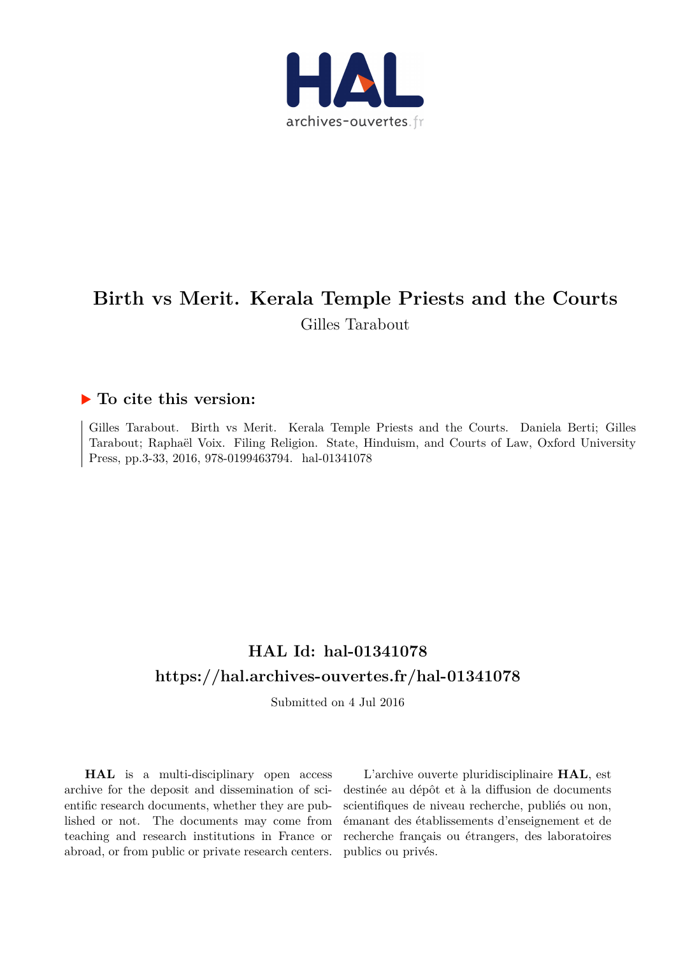

# **Birth vs Merit. Kerala Temple Priests and the Courts** Gilles Tarabout

### **To cite this version:**

Gilles Tarabout. Birth vs Merit. Kerala Temple Priests and the Courts. Daniela Berti; Gilles Tarabout; Raphaël Voix. Filing Religion. State, Hinduism, and Courts of Law, Oxford University Press, pp.3-33, 2016, 978-0199463794. hal-01341078

## **HAL Id: hal-01341078 <https://hal.archives-ouvertes.fr/hal-01341078>**

Submitted on 4 Jul 2016

**HAL** is a multi-disciplinary open access archive for the deposit and dissemination of scientific research documents, whether they are published or not. The documents may come from teaching and research institutions in France or abroad, or from public or private research centers.

L'archive ouverte pluridisciplinaire **HAL**, est destinée au dépôt et à la diffusion de documents scientifiques de niveau recherche, publiés ou non, émanant des établissements d'enseignement et de recherche français ou étrangers, des laboratoires publics ou privés.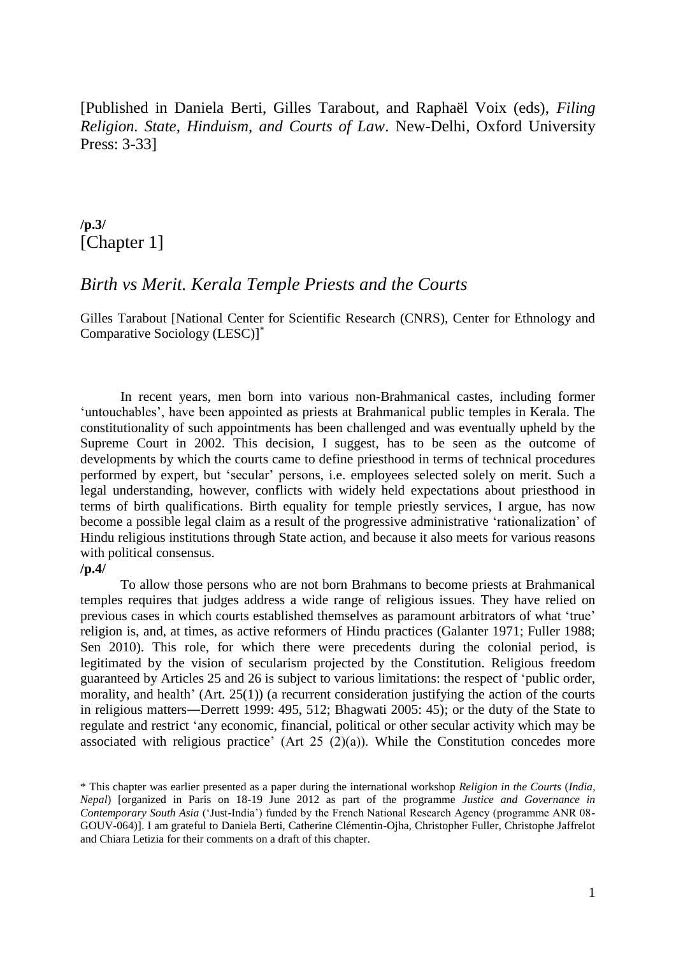[Published in Daniela Berti, Gilles Tarabout, and Raphaël Voix (eds), *Filing Religion. State, Hinduism, and Courts of Law*. New-Delhi, Oxford University Press: 3-33]

## **/p.3/** [Chapter 1]

### *Birth vs Merit. Kerala Temple Priests and the Courts*

Gilles Tarabout [National Center for Scientific Research (CNRS), Center for Ethnology and Comparative Sociology (LESC)] \*

In recent years, men born into various non-Brahmanical castes, including former 'untouchables', have been appointed as priests at Brahmanical public temples in Kerala. The constitutionality of such appointments has been challenged and was eventually upheld by the Supreme Court in 2002. This decision, I suggest, has to be seen as the outcome of developments by which the courts came to define priesthood in terms of technical procedures performed by expert, but 'secular' persons, i.e. employees selected solely on merit. Such a legal understanding, however, conflicts with widely held expectations about priesthood in terms of birth qualifications. Birth equality for temple priestly services, I argue, has now become a possible legal claim as a result of the progressive administrative 'rationalization' of Hindu religious institutions through State action, and because it also meets for various reasons with political consensus.

#### **/p.4/**

To allow those persons who are not born Brahmans to become priests at Brahmanical temples requires that judges address a wide range of religious issues. They have relied on previous cases in which courts established themselves as paramount arbitrators of what 'true' religion is, and, at times, as active reformers of Hindu practices (Galanter 1971; Fuller 1988; Sen 2010). This role, for which there were precedents during the colonial period, is legitimated by the vision of secularism projected by the Constitution. Religious freedom guaranteed by Articles 25 and 26 is subject to various limitations: the respect of 'public order, morality, and health' (Art. 25(1)) (a recurrent consideration justifying the action of the courts in religious matters―Derrett 1999: 495, 512; Bhagwati 2005: 45); or the duty of the State to regulate and restrict 'any economic, financial, political or other secular activity which may be associated with religious practice' (Art  $25 (2)(a)$ ). While the Constitution concedes more

<sup>\*</sup> This chapter was earlier presented as a paper during the international workshop *Religion in the Courts* (*India, Nepal*) [organized in Paris on 18-19 June 2012 as part of the programme *Justice and Governance in Contemporary South Asia* ('Just-India') funded by the French National Research Agency (programme ANR 08- GOUV-064)]. I am grateful to Daniela Berti, Catherine Clémentin-Ojha, Christopher Fuller, Christophe Jaffrelot and Chiara Letizia for their comments on a draft of this chapter.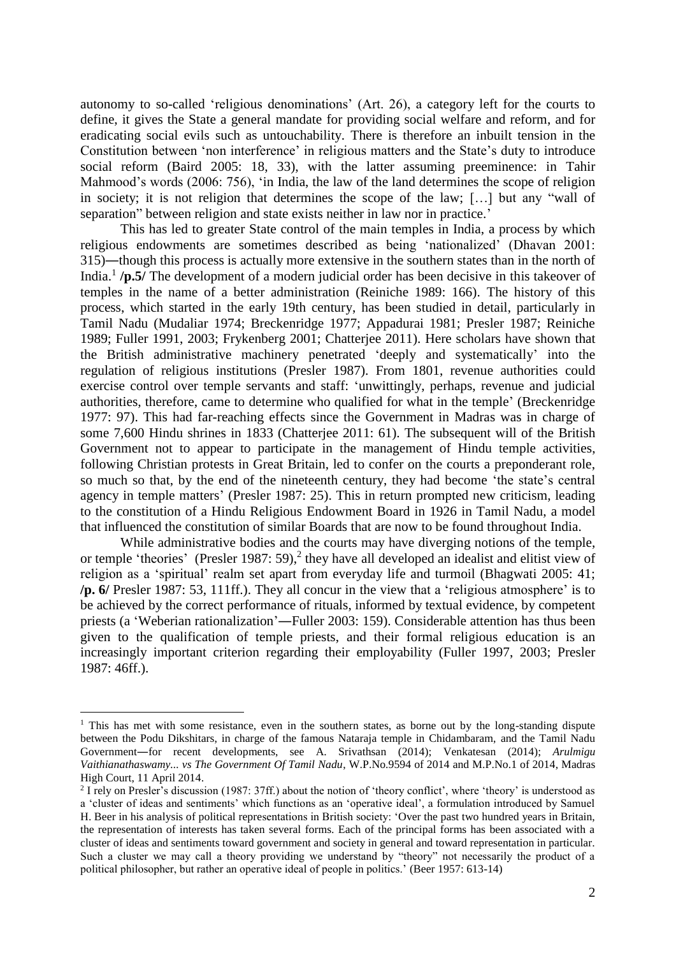autonomy to so-called 'religious denominations' (Art. 26), a category left for the courts to define, it gives the State a general mandate for providing social welfare and reform, and for eradicating social evils such as untouchability. There is therefore an inbuilt tension in the Constitution between 'non interference' in religious matters and the State's duty to introduce social reform (Baird 2005: 18, 33), with the latter assuming preeminence: in Tahir Mahmood's words (2006: 756), 'in India, the law of the land determines the scope of religion in society; it is not religion that determines the scope of the law; […] but any "wall of separation" between religion and state exists neither in law nor in practice.'

This has led to greater State control of the main temples in India, a process by which religious endowments are sometimes described as being 'nationalized' (Dhavan 2001: 315)―though this process is actually more extensive in the southern states than in the north of India.<sup>1</sup> /**p.5/** The development of a modern judicial order has been decisive in this takeover of temples in the name of a better administration (Reiniche 1989: 166). The history of this process, which started in the early 19th century, has been studied in detail, particularly in Tamil Nadu (Mudaliar 1974; Breckenridge 1977; Appadurai 1981; Presler 1987; Reiniche 1989; Fuller 1991, 2003; Frykenberg 2001; Chatterjee 2011). Here scholars have shown that the British administrative machinery penetrated 'deeply and systematically' into the regulation of religious institutions (Presler 1987). From 1801, revenue authorities could exercise control over temple servants and staff: 'unwittingly, perhaps, revenue and judicial authorities, therefore, came to determine who qualified for what in the temple' (Breckenridge 1977: 97). This had far-reaching effects since the Government in Madras was in charge of some 7,600 Hindu shrines in 1833 (Chatterjee 2011: 61). The subsequent will of the British Government not to appear to participate in the management of Hindu temple activities, following Christian protests in Great Britain, led to confer on the courts a preponderant role, so much so that, by the end of the nineteenth century, they had become 'the state's central agency in temple matters' (Presler 1987: 25). This in return prompted new criticism, leading to the constitution of a Hindu Religious Endowment Board in 1926 in Tamil Nadu, a model that influenced the constitution of similar Boards that are now to be found throughout India.

While administrative bodies and the courts may have diverging notions of the temple, or temple 'theories' (Presler 1987: 59),<sup>2</sup> they have all developed an idealist and elitist view of religion as a 'spiritual' realm set apart from everyday life and turmoil (Bhagwati 2005: 41; **/p. 6/** Presler 1987: 53, 111ff.). They all concur in the view that a 'religious atmosphere' is to be achieved by the correct performance of rituals, informed by textual evidence, by competent priests (a 'Weberian rationalization'―Fuller 2003: 159). Considerable attention has thus been given to the qualification of temple priests, and their formal religious education is an increasingly important criterion regarding their employability (Fuller 1997, 2003; Presler 1987: 46ff.).

<sup>&</sup>lt;sup>1</sup> This has met with some resistance, even in the southern states, as borne out by the long-standing dispute between the Podu Dikshitars, in charge of the famous Nataraja temple in Chidambaram, and the Tamil Nadu Government―for recent developments, see A. Srivathsan (2014); Venkatesan (2014); *Arulmigu Vaithianathaswamy... vs The Government Of Tamil Nadu*, W.P.No.9594 of 2014 and M.P.No.1 of 2014, Madras High Court, 11 April 2014.

 $2$  I rely on Presler's discussion (1987: 37ff.) about the notion of 'theory conflict', where 'theory' is understood as a 'cluster of ideas and sentiments' which functions as an 'operative ideal', a formulation introduced by Samuel H. Beer in his analysis of political representations in British society: 'Over the past two hundred years in Britain, the representation of interests has taken several forms. Each of the principal forms has been associated with a cluster of ideas and sentiments toward government and society in general and toward representation in particular. Such a cluster we may call a theory providing we understand by "theory" not necessarily the product of a political philosopher, but rather an operative ideal of people in politics.' (Beer 1957: 613-14)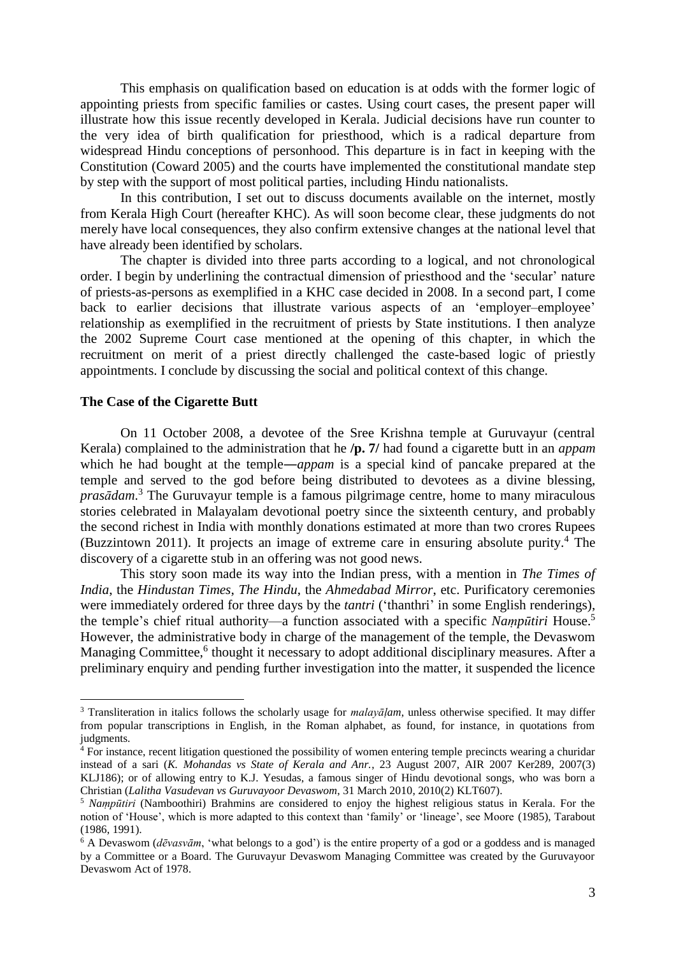This emphasis on qualification based on education is at odds with the former logic of appointing priests from specific families or castes. Using court cases, the present paper will illustrate how this issue recently developed in Kerala. Judicial decisions have run counter to the very idea of birth qualification for priesthood, which is a radical departure from widespread Hindu conceptions of personhood. This departure is in fact in keeping with the Constitution (Coward 2005) and the courts have implemented the constitutional mandate step by step with the support of most political parties, including Hindu nationalists.

In this contribution, I set out to discuss documents available on the internet, mostly from Kerala High Court (hereafter KHC). As will soon become clear, these judgments do not merely have local consequences, they also confirm extensive changes at the national level that have already been identified by scholars.

The chapter is divided into three parts according to a logical, and not chronological order. I begin by underlining the contractual dimension of priesthood and the 'secular' nature of priests-as-persons as exemplified in a KHC case decided in 2008. In a second part, I come back to earlier decisions that illustrate various aspects of an 'employer-employee' relationship as exemplified in the recruitment of priests by State institutions. I then analyze the 2002 Supreme Court case mentioned at the opening of this chapter, in which the recruitment on merit of a priest directly challenged the caste-based logic of priestly appointments. I conclude by discussing the social and political context of this change.

#### **The Case of the Cigarette Butt**

1

On 11 October 2008, a devotee of the Sree Krishna temple at Guruvayur (central Kerala) complained to the administration that he **/p. 7/** had found a cigarette butt in an *appam* which he had bought at the temple―*appam* is a special kind of pancake prepared at the temple and served to the god before being distributed to devotees as a divine blessing, *prasādam*. <sup>3</sup> The Guruvayur temple is a famous pilgrimage centre, home to many miraculous stories celebrated in Malayalam devotional poetry since the sixteenth century, and probably the second richest in India with monthly donations estimated at more than two crores Rupees (Buzzintown 2011). It projects an image of extreme care in ensuring absolute purity. <sup>4</sup> The discovery of a cigarette stub in an offering was not good news.

This story soon made its way into the Indian press, with a mention in *The Times of India*, the *Hindustan Times*, *The Hindu*, the *Ahmedabad Mirror*, etc. Purificatory ceremonies were immediately ordered for three days by the *tantri* ('thanthri' in some English renderings), the temple's chief ritual authority—a function associated with a specific *Naṃpūtiri* House. 5 However, the administrative body in charge of the management of the temple, the Devaswom Managing Committee,<sup>6</sup> thought it necessary to adopt additional disciplinary measures. After a preliminary enquiry and pending further investigation into the matter, it suspended the licence

<sup>3</sup> Transliteration in italics follows the scholarly usage for *malayāḷam*, unless otherwise specified. It may differ from popular transcriptions in English, in the Roman alphabet, as found, for instance, in quotations from judgments.

 $4$  For instance, recent litigation questioned the possibility of women entering temple precincts wearing a churidar instead of a sari (*K. Mohandas vs State of Kerala and Anr.*, 23 August 2007, AIR 2007 Ker289, 2007(3) KLJ186); or of allowing entry to K.J. Yesudas, a famous singer of Hindu devotional songs, who was born a Christian (*Lalitha Vasudevan vs Guruvayoor Devaswom*, 31 March 2010, 2010(2) KLT607).

<sup>5</sup> *Naṃpūtiri* (Namboothiri) Brahmins are considered to enjoy the highest religious status in Kerala. For the notion of 'House', which is more adapted to this context than 'family' or 'lineage', see Moore (1985), Tarabout (1986, 1991).

<sup>6</sup> A Devaswom (*dēvasvām*, 'what belongs to a god') is the entire property of a god or a goddess and is managed by a Committee or a Board. The Guruvayur Devaswom Managing Committee was created by the Guruvayoor Devaswom Act of 1978.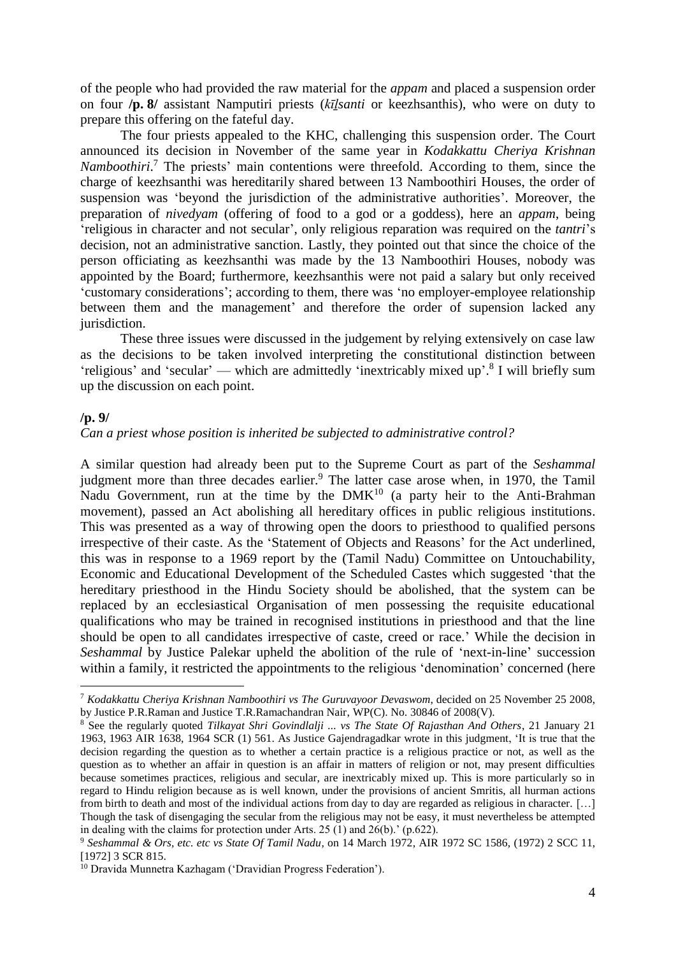of the people who had provided the raw material for the *appam* and placed a suspension order on four **/p. 8/** assistant Namputiri priests (*kīḻsanti* or keezhsanthis), who were on duty to prepare this offering on the fateful day.

The four priests appealed to the KHC, challenging this suspension order. The Court announced its decision in November of the same year in *Kodakkattu Cheriya Krishnan*  Namboothiri.<sup>7</sup> The priests' main contentions were threefold. According to them, since the charge of keezhsanthi was hereditarily shared between 13 Namboothiri Houses, the order of suspension was 'beyond the jurisdiction of the administrative authorities'. Moreover, the preparation of *nivedyam* (offering of food to a god or a goddess), here an *appam*, being 'religious in character and not secular', only religious reparation was required on the *tantri*'s decision, not an administrative sanction. Lastly, they pointed out that since the choice of the person officiating as keezhsanthi was made by the 13 Namboothiri Houses, nobody was appointed by the Board; furthermore, keezhsanthis were not paid a salary but only received 'customary considerations'; according to them, there was 'no employer-employee relationship between them and the management' and therefore the order of supension lacked any jurisdiction.

These three issues were discussed in the judgement by relying extensively on case law as the decisions to be taken involved interpreting the constitutional distinction between 'religious' and 'secular' — which are admittedly 'inextricably mixed up'.<sup>8</sup> I will briefly sum up the discussion on each point.

#### **/p. 9/**

<u>.</u>

*Can a priest whose position is inherited be subjected to administrative control?*

A similar question had already been put to the Supreme Court as part of the *Seshammal* judgment more than three decades earlier.<sup>9</sup> The latter case arose when, in 1970, the Tamil Nadu Government, run at the time by the  $DMK<sup>10</sup>$  (a party heir to the Anti-Brahman movement), passed an Act abolishing all hereditary offices in public religious institutions. This was presented as a way of throwing open the doors to priesthood to qualified persons irrespective of their caste. As the 'Statement of Objects and Reasons' for the Act underlined, this was in response to a 1969 report by the (Tamil Nadu) Committee on Untouchability, Economic and Educational Development of the Scheduled Castes which suggested 'that the hereditary priesthood in the Hindu Society should be abolished, that the system can be replaced by an ecclesiastical Organisation of men possessing the requisite educational qualifications who may be trained in recognised institutions in priesthood and that the line should be open to all candidates irrespective of caste, creed or race.' While the decision in *Seshammal* by Justice Palekar upheld the abolition of the rule of 'next-in-line' succession within a family, it restricted the appointments to the religious 'denomination' concerned (here

<sup>7</sup> *Kodakkattu Cheriya Krishnan Namboothiri vs The Guruvayoor Devaswom*, decided on 25 November 25 2008, by Justice P.R.Raman and Justice T.R.Ramachandran Nair, WP(C). No. 30846 of 2008(V).

<sup>8</sup> See the regularly quoted *Tilkayat Shri Govindlalji ... vs The State Of Rajasthan And Others*, 21 January 21 1963, 1963 AIR 1638, 1964 SCR (1) 561. As Justice Gajendragadkar wrote in this judgment, 'It is true that the decision regarding the question as to whether a certain practice is a religious practice or not, as well as the question as to whether an affair in question is an affair in matters of religion or not, may present difficulties because sometimes practices, religious and secular, are inextricably mixed up. This is more particularly so in regard to Hindu religion because as is well known, under the provisions of ancient Smritis, all hurman actions from birth to death and most of the individual actions from day to day are regarded as religious in character. […] Though the task of disengaging the secular from the religious may not be easy, it must nevertheless be attempted in dealing with the claims for protection under Arts. 25 (1) and 26(b).' (p.622).

<sup>9</sup> *Seshammal & Ors, etc. etc vs State Of Tamil Nadu*, on 14 March 1972, AIR 1972 SC 1586, (1972) 2 SCC 11, [1972] 3 SCR 815.

<sup>10</sup> Dravida Munnetra Kazhagam ('Dravidian Progress Federation').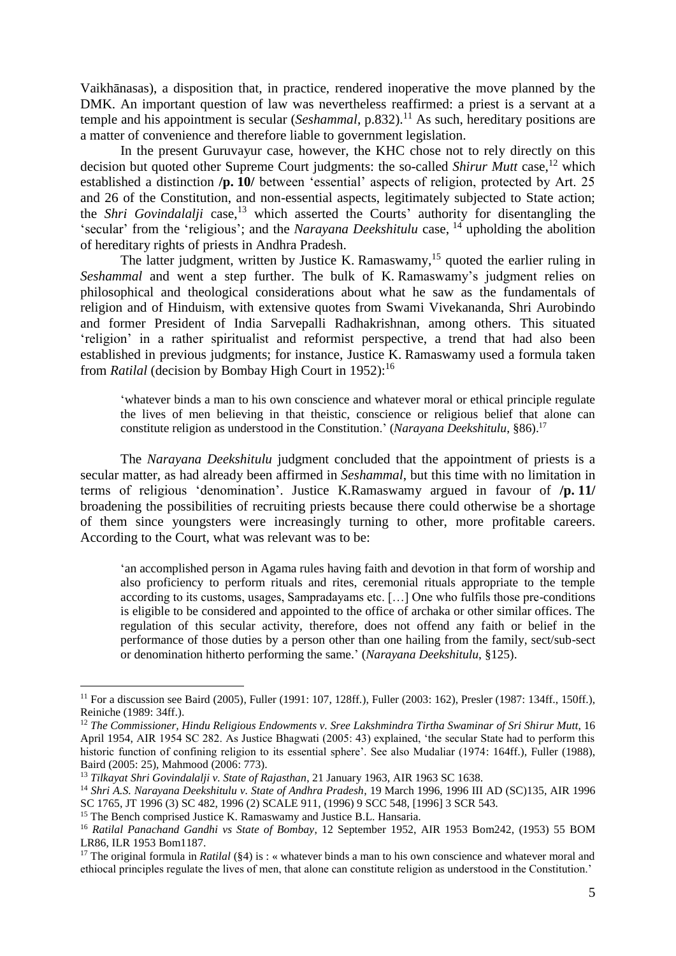Vaikhānasas), a disposition that, in practice, rendered inoperative the move planned by the DMK. An important question of law was nevertheless reaffirmed: a priest is a servant at a temple and his appointment is secular (*Seshammal*, p.832).<sup>11</sup> As such, hereditary positions are a matter of convenience and therefore liable to government legislation.

In the present Guruvayur case, however, the KHC chose not to rely directly on this decision but quoted other Supreme Court judgments: the so-called *Shirur Mutt* case, <sup>12</sup> which established a distinction **/p. 10/** between 'essential' aspects of religion, protected by Art. 25 and 26 of the Constitution, and non-essential aspects, legitimately subjected to State action; the *Shri Govindalalji* case,<sup>13</sup> which asserted the Courts' authority for disentangling the 'secular' from the 'religious'; and the *Narayana Deekshitulu* case, <sup>14</sup> upholding the abolition of hereditary rights of priests in Andhra Pradesh.

The latter judgment, written by Justice K. Ramaswamy,<sup>15</sup> quoted the earlier ruling in *Seshammal* and went a step further. The bulk of K. Ramaswamy's judgment relies on philosophical and theological considerations about what he saw as the fundamentals of religion and of Hinduism, with extensive quotes from Swami Vivekananda, Shri Aurobindo and former President of India Sarvepalli Radhakrishnan, among others. This situated 'religion' in a rather spiritualist and reformist perspective, a trend that had also been established in previous judgments; for instance, Justice K. Ramaswamy used a formula taken from *Ratilal* (decision by Bombay High Court in 1952): 16

'whatever binds a man to his own conscience and whatever moral or ethical principle regulate the lives of men believing in that theistic, conscience or religious belief that alone can constitute religion as understood in the Constitution.' (*Narayana Deekshitulu*, §86). 17

The *Narayana Deekshitulu* judgment concluded that the appointment of priests is a secular matter, as had already been affirmed in *Seshammal*, but this time with no limitation in terms of religious 'denomination'. Justice K.Ramaswamy argued in favour of **/p. 11/** broadening the possibilities of recruiting priests because there could otherwise be a shortage of them since youngsters were increasingly turning to other, more profitable careers. According to the Court, what was relevant was to be:

'an accomplished person in Agama rules having faith and devotion in that form of worship and also proficiency to perform rituals and rites, ceremonial rituals appropriate to the temple according to its customs, usages, Sampradayams etc. […] One who fulfils those pre-conditions is eligible to be considered and appointed to the office of archaka or other similar offices. The regulation of this secular activity, therefore, does not offend any faith or belief in the performance of those duties by a person other than one hailing from the family, sect/sub-sect or denomination hitherto performing the same.' (*Narayana Deekshitulu*, §125).

<u>.</u>

<sup>&</sup>lt;sup>11</sup> For a discussion see Baird (2005), Fuller (1991: 107, 128ff.), Fuller (2003: 162), Presler (1987: 134ff., 150ff.), Reiniche (1989: 34ff.).

<sup>&</sup>lt;sup>12</sup> The Commissioner, Hindu Religious Endowments v. Sree Lakshmindra Tirtha Swaminar of Sri Shirur Mutt, 16 April 1954, AIR 1954 SC 282. As Justice Bhagwati (2005: 43) explained, 'the secular State had to perform this historic function of confining religion to its essential sphere'. See also Mudaliar (1974: 164ff.), Fuller (1988), Baird (2005: 25), Mahmood (2006: 773).

<sup>13</sup> *Tilkayat Shri Govindalalji v. State of Rajasthan*, 21 January 1963, AIR 1963 SC 1638.

<sup>14</sup> *Shri A.S. Narayana Deekshitulu v. State of Andhra Pradesh*, 19 March 1996, 1996 III AD (SC)135, AIR 1996 SC 1765, JT 1996 (3) SC 482, 1996 (2) SCALE 911, (1996) 9 SCC 548, [1996] 3 SCR 543.

<sup>&</sup>lt;sup>15</sup> The Bench comprised Justice K. Ramaswamy and Justice B.L. Hansaria.

<sup>16</sup> *Ratilal Panachand Gandhi vs State of Bombay*, 12 September 1952, AIR 1953 Bom242, (1953) 55 BOM LR86, ILR 1953 Bom1187.

<sup>&</sup>lt;sup>17</sup> The original formula in *Ratilal* (§4) is : « whatever binds a man to his own conscience and whatever moral and ethiocal principles regulate the lives of men, that alone can constitute religion as understood in the Constitution.'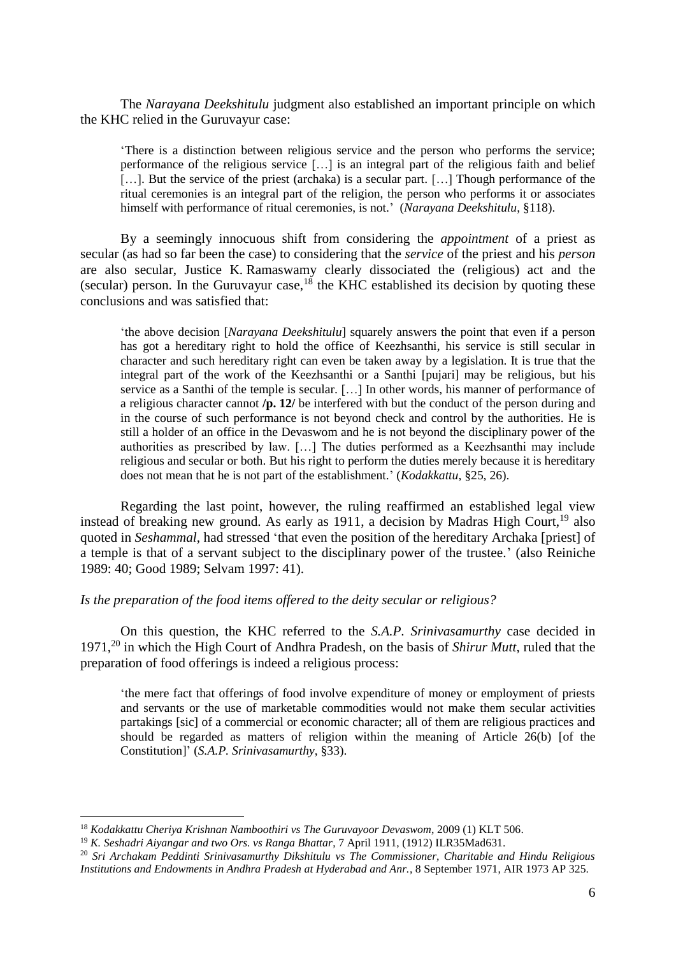The *Narayana Deekshitulu* judgment also established an important principle on which the KHC relied in the Guruvayur case:

'There is a distinction between religious service and the person who performs the service; performance of the religious service […] is an integral part of the religious faith and belief [...]. But the service of the priest (archaka) is a secular part. [...] Though performance of the ritual ceremonies is an integral part of the religion, the person who performs it or associates himself with performance of ritual ceremonies, is not.' (*Narayana Deekshitulu*, §118).

By a seemingly innocuous shift from considering the *appointment* of a priest as secular (as had so far been the case) to considering that the *service* of the priest and his *person* are also secular, Justice K. Ramaswamy clearly dissociated the (religious) act and the (secular) person. In the Guruvayur case,<sup>18</sup> the KHC established its decision by quoting these conclusions and was satisfied that:

'the above decision [*Narayana Deekshitulu*] squarely answers the point that even if a person has got a hereditary right to hold the office of Keezhsanthi, his service is still secular in character and such hereditary right can even be taken away by a legislation. It is true that the integral part of the work of the Keezhsanthi or a Santhi [pujari] may be religious, but his service as a Santhi of the temple is secular. […] In other words, his manner of performance of a religious character cannot **/p. 12/** be interfered with but the conduct of the person during and in the course of such performance is not beyond check and control by the authorities. He is still a holder of an office in the Devaswom and he is not beyond the disciplinary power of the authorities as prescribed by law. […] The duties performed as a Keezhsanthi may include religious and secular or both. But his right to perform the duties merely because it is hereditary does not mean that he is not part of the establishment.' (*Kodakkattu*, §25, 26).

Regarding the last point, however, the ruling reaffirmed an established legal view instead of breaking new ground. As early as 1911, a decision by Madras High Court,<sup>19</sup> also quoted in *Seshammal*, had stressed 'that even the position of the hereditary Archaka [priest] of a temple is that of a servant subject to the disciplinary power of the trustee.' (also Reiniche 1989: 40; Good 1989; Selvam 1997: 41).

#### *Is the preparation of the food items offered to the deity secular or religious?*

On this question, the KHC referred to the *S.A.P. Srinivasamurthy* case decided in 1971,<sup>20</sup> in which the High Court of Andhra Pradesh, on the basis of *Shirur Mutt*, ruled that the preparation of food offerings is indeed a religious process:

'the mere fact that offerings of food involve expenditure of money or employment of priests and servants or the use of marketable commodities would not make them secular activities partakings [sic] of a commercial or economic character; all of them are religious practices and should be regarded as matters of religion within the meaning of Article 26(b) [of the Constitution]' (*S.A.P. Srinivasamurthy*, §33).

<sup>18</sup> *Kodakkattu Cheriya Krishnan Namboothiri vs The Guruvayoor Devaswom*, 2009 (1) KLT 506.

<sup>19</sup> *K. Seshadri Aiyangar and two Ors. vs Ranga Bhattar*, 7 April 1911, (1912) ILR35Mad631.

<sup>20</sup> *Sri Archakam Peddinti Srinivasamurthy Dikshitulu vs The Commissioner, Charitable and Hindu Religious Institutions and Endowments in Andhra Pradesh at Hyderabad and Anr.*, 8 September 1971, AIR 1973 AP 325.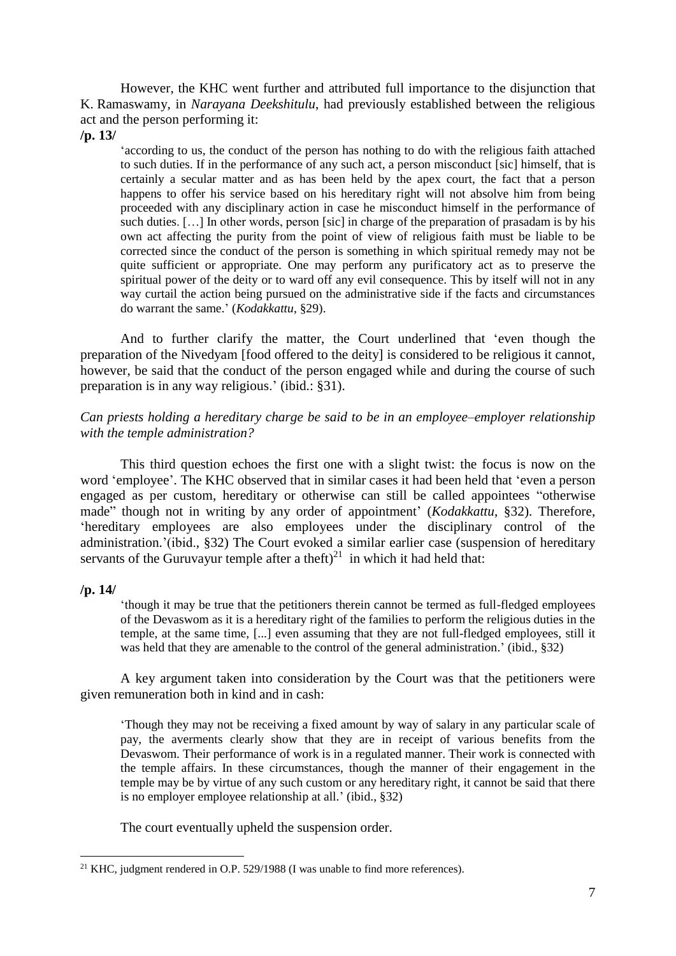However, the KHC went further and attributed full importance to the disjunction that K. Ramaswamy, in *Narayana Deekshitulu*, had previously established between the religious act and the person performing it:

**/p. 13/**

'according to us, the conduct of the person has nothing to do with the religious faith attached to such duties. If in the performance of any such act, a person misconduct [sic] himself, that is certainly a secular matter and as has been held by the apex court, the fact that a person happens to offer his service based on his hereditary right will not absolve him from being proceeded with any disciplinary action in case he misconduct himself in the performance of such duties. [...] In other words, person [sic] in charge of the preparation of prasadam is by his own act affecting the purity from the point of view of religious faith must be liable to be corrected since the conduct of the person is something in which spiritual remedy may not be quite sufficient or appropriate. One may perform any purificatory act as to preserve the spiritual power of the deity or to ward off any evil consequence. This by itself will not in any way curtail the action being pursued on the administrative side if the facts and circumstances do warrant the same.' (*Kodakkattu*, §29).

And to further clarify the matter, the Court underlined that 'even though the preparation of the Nivedyam [food offered to the deity] is considered to be religious it cannot, however, be said that the conduct of the person engaged while and during the course of such preparation is in any way religious.' (ibid.: §31).

#### *Can priests holding a hereditary charge be said to be in an employee–employer relationship with the temple administration?*

This third question echoes the first one with a slight twist: the focus is now on the word 'employee'. The KHC observed that in similar cases it had been held that 'even a person engaged as per custom, hereditary or otherwise can still be called appointees "otherwise made" though not in writing by any order of appointment' (*Kodakkattu*, §32). Therefore, 'hereditary employees are also employees under the disciplinary control of the administration.'(ibid., §32) The Court evoked a similar earlier case (suspension of hereditary servants of the Guruvayur temple after a theft)<sup>21</sup> in which it had held that:

#### **/p. 14/**

'though it may be true that the petitioners therein cannot be termed as full-fledged employees of the Devaswom as it is a hereditary right of the families to perform the religious duties in the temple, at the same time, [...] even assuming that they are not full-fledged employees, still it was held that they are amenable to the control of the general administration.' (ibid., §32)

A key argument taken into consideration by the Court was that the petitioners were given remuneration both in kind and in cash:

'Though they may not be receiving a fixed amount by way of salary in any particular scale of pay, the averments clearly show that they are in receipt of various benefits from the Devaswom. Their performance of work is in a regulated manner. Their work is connected with the temple affairs. In these circumstances, though the manner of their engagement in the temple may be by virtue of any such custom or any hereditary right, it cannot be said that there is no employer employee relationship at all.' (ibid., §32)

The court eventually upheld the suspension order.

<sup>1</sup> <sup>21</sup> KHC, judgment rendered in O.P. 529/1988 (I was unable to find more references).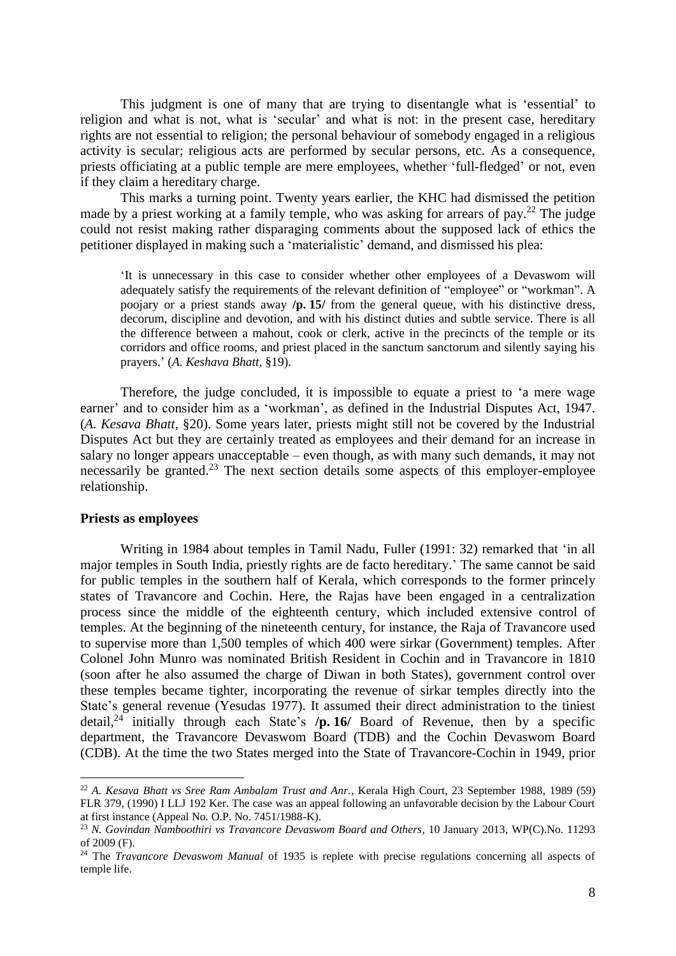This judgment is one of many that are trying to disentangle what is 'essential' to religion and what is not, what is 'secular' and what is not: in the present case, hereditary rights are not essential to religion; the personal behaviour of somebody engaged in a religious activity is secular; religious acts are performed by secular persons, etc. As a consequence, priests officiating at a public temple are mere employees, whether 'full-fledged' or not, even if they claim a hereditary charge.

This marks a turning point. Twenty years earlier, the KHC had dismissed the petition made by a priest working at a family temple, who was asking for arrears of pay.<sup>22</sup> The judge could not resist making rather disparaging comments about the supposed lack of ethics the petitioner displayed in making such a 'materialistic' demand, and dismissed his plea:

'It is unnecessary in this case to consider whether other employees of a Devaswom will adequately satisfy the requirements of the relevant definition of "employee" or "workman". A poojary or a priest stands away **/p. 15/** from the general queue, with his distinctive dress, decorum, discipline and devotion, and with his distinct duties and subtle service. There is all the difference between a mahout, cook or clerk, active in the precincts of the temple or its corridors and office rooms, and priest placed in the sanctum sanctorum and silently saying his prayers.' (*A. Keshava Bhatt*, §19).

Therefore, the judge concluded, it is impossible to equate a priest to 'a mere wage earner' and to consider him as a 'workman', as defined in the Industrial Disputes Act, 1947. (*A. Kesava Bhatt*, §20). Some years later, priests might still not be covered by the Industrial Disputes Act but they are certainly treated as employees and their demand for an increase in salary no longer appears unacceptable – even though, as with many such demands, it may not necessarily be granted.<sup>23</sup> The next section details some aspects of this employer-employee relationship.

#### **Priests as employees**

1

Writing in 1984 about temples in Tamil Nadu, Fuller (1991: 32) remarked that 'in all major temples in South India, priestly rights are de facto hereditary.' The same cannot be said for public temples in the southern half of Kerala, which corresponds to the former princely states of Travancore and Cochin. Here, the Rajas have been engaged in a centralization process since the middle of the eighteenth century, which included extensive control of temples. At the beginning of the nineteenth century, for instance, the Raja of Travancore used to supervise more than 1,500 temples of which 400 were sirkar (Government) temples. After Colonel John Munro was nominated British Resident in Cochin and in Travancore in 1810 (soon after he also assumed the charge of Diwan in both States), government control over these temples became tighter, incorporating the revenue of sirkar temples directly into the State's general revenue (Yesudas 1977). It assumed their direct administration to the tiniest detail, <sup>24</sup> initially through each State's **/p. 16/** Board of Revenue, then by a specific department, the Travancore Devaswom Board (TDB) and the Cochin Devaswom Board (CDB). At the time the two States merged into the State of Travancore-Cochin in 1949, prior

<sup>22</sup> *A. Kesava Bhatt vs Sree Ram Ambalam Trust and Anr.*, Kerala High Court, 23 September 1988, 1989 (59) FLR 379, (1990) I LLJ 192 Ker. The case was an appeal following an unfavorable decision by the Labour Court at first instance (Appeal No. O.P. No. 7451/1988-K).

<sup>23</sup> *N. Govindan Namboothiri vs Travancore Devaswom Board and Others*, 10 January 2013, WP(C).No. 11293 of 2009 (F).

<sup>24</sup> The *Travancore Devaswom Manual* of 1935 is replete with precise regulations concerning all aspects of temple life.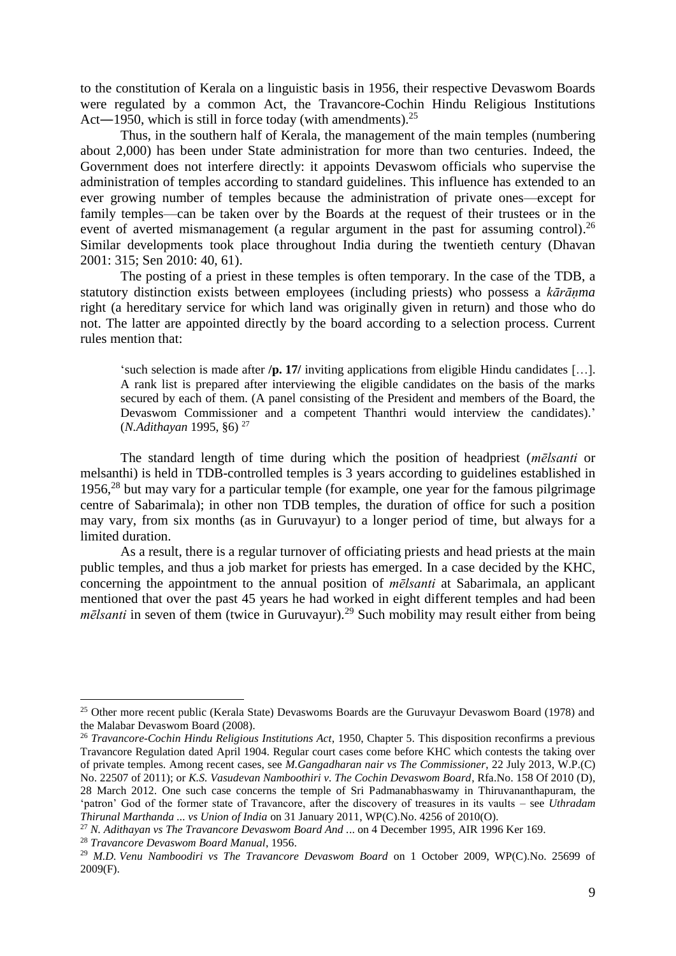to the constitution of Kerala on a linguistic basis in 1956, their respective Devaswom Boards were regulated by a common Act, the Travancore-Cochin Hindu Religious Institutions Act—1950, which is still in force today (with amendments).<sup>25</sup>

Thus, in the southern half of Kerala, the management of the main temples (numbering about 2,000) has been under State administration for more than two centuries. Indeed, the Government does not interfere directly: it appoints Devaswom officials who supervise the administration of temples according to standard guidelines. This influence has extended to an ever growing number of temples because the administration of private ones—except for family temples—can be taken over by the Boards at the request of their trustees or in the event of averted mismanagement (a regular argument in the past for assuming control).<sup>26</sup> Similar developments took place throughout India during the twentieth century (Dhavan 2001: 315; Sen 2010: 40, 61).

The posting of a priest in these temples is often temporary. In the case of the TDB, a statutory distinction exists between employees (including priests) who possess a *kārāṇma* right (a hereditary service for which land was originally given in return) and those who do not. The latter are appointed directly by the board according to a selection process. Current rules mention that:

'such selection is made after **/p. 17/** inviting applications from eligible Hindu candidates […]. A rank list is prepared after interviewing the eligible candidates on the basis of the marks secured by each of them. (A panel consisting of the President and members of the Board, the Devaswom Commissioner and a competent Thanthri would interview the candidates).' (*N.Adithayan* 1995, §6) <sup>27</sup>

The standard length of time during which the position of headpriest (*mēlsanti* or melsanthi) is held in TDB-controlled temples is 3 years according to guidelines established in 1956, $28$  but may vary for a particular temple (for example, one year for the famous pilgrimage centre of Sabarimala); in other non TDB temples, the duration of office for such a position may vary, from six months (as in Guruvayur) to a longer period of time, but always for a limited duration.

As a result, there is a regular turnover of officiating priests and head priests at the main public temples, and thus a job market for priests has emerged. In a case decided by the KHC, concerning the appointment to the annual position of *mēlsanti* at Sabarimala, an applicant mentioned that over the past 45 years he had worked in eight different temples and had been *mēlsanti* in seven of them (twice in Guruvayur).<sup>29</sup> Such mobility may result either from being

<sup>&</sup>lt;sup>25</sup> Other more recent public (Kerala State) Devaswoms Boards are the Guruvayur Devaswom Board (1978) and the Malabar Devaswom Board (2008).

<sup>26</sup> *Travancore-Cochin Hindu Religious Institutions Act*, 1950, Chapter 5. This disposition reconfirms a previous Travancore Regulation dated April 1904. Regular court cases come before KHC which contests the taking over of private temples. Among recent cases, see *M.Gangadharan nair vs The Commissioner*, 22 July 2013, W.P.(C) No. 22507 of 2011); or *K.S. Vasudevan Namboothiri v. The Cochin Devaswom Board*, Rfa.No. 158 Of 2010 (D), 28 March 2012. One such case concerns the temple of Sri Padmanabhaswamy in Thiruvananthapuram, the 'patron' God of the former state of Travancore, after the discovery of treasures in its vaults – see *Uthradam Thirunal Marthanda ... vs Union of India* on 31 January 2011, WP(C).No. 4256 of 2010(O).

<sup>27</sup> *N. Adithayan vs The Travancore Devaswom Board And .*.. on 4 December 1995, AIR 1996 Ker 169.

<sup>28</sup> *Travancore Devaswom Board Manual*, 1956.

<sup>29</sup> *M.D. Venu Namboodiri vs The Travancore Devaswom Board* on 1 October 2009, WP(C).No. 25699 of 2009(F).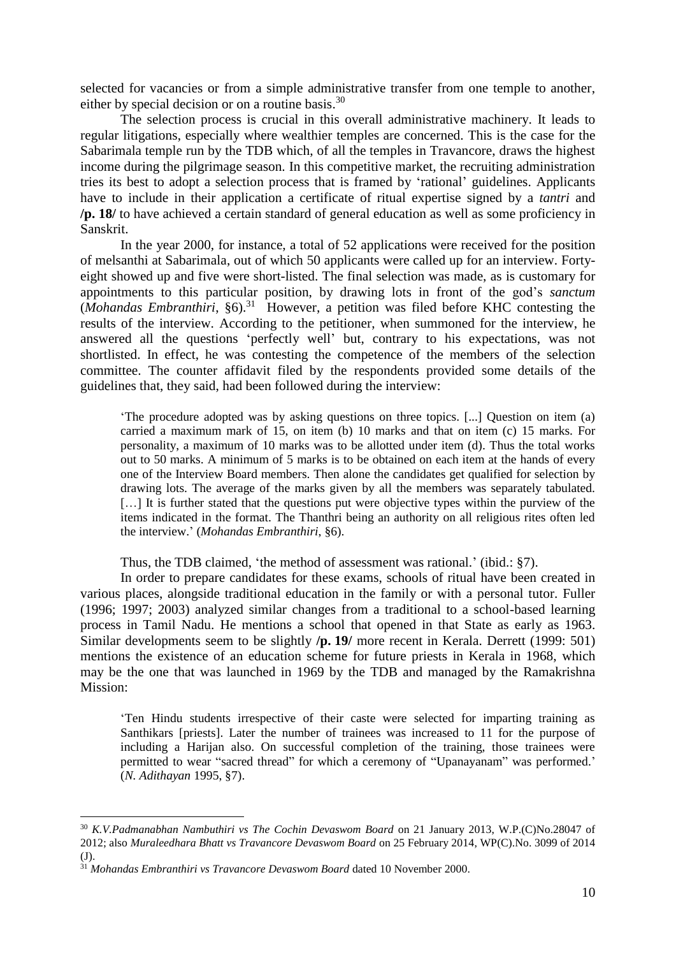selected for vacancies or from a simple administrative transfer from one temple to another, either by special decision or on a routine basis.<sup>30</sup>

The selection process is crucial in this overall administrative machinery. It leads to regular litigations, especially where wealthier temples are concerned. This is the case for the Sabarimala temple run by the TDB which, of all the temples in Travancore, draws the highest income during the pilgrimage season. In this competitive market, the recruiting administration tries its best to adopt a selection process that is framed by 'rational' guidelines. Applicants have to include in their application a certificate of ritual expertise signed by a *tantri* and **/p. 18/** to have achieved a certain standard of general education as well as some proficiency in Sanskrit.

In the year 2000, for instance, a total of 52 applications were received for the position of melsanthi at Sabarimala, out of which 50 applicants were called up for an interview. Fortyeight showed up and five were short-listed. The final selection was made, as is customary for appointments to this particular position, by drawing lots in front of the god's *sanctum* (*Mohandas Embranthiri*, §6). <sup>31</sup> However, a petition was filed before KHC contesting the results of the interview. According to the petitioner, when summoned for the interview, he answered all the questions 'perfectly well' but, contrary to his expectations, was not shortlisted. In effect, he was contesting the competence of the members of the selection committee. The counter affidavit filed by the respondents provided some details of the guidelines that, they said, had been followed during the interview:

'The procedure adopted was by asking questions on three topics. [...] Question on item (a) carried a maximum mark of 15, on item (b) 10 marks and that on item (c) 15 marks. For personality, a maximum of 10 marks was to be allotted under item (d). Thus the total works out to 50 marks. A minimum of 5 marks is to be obtained on each item at the hands of every one of the Interview Board members. Then alone the candidates get qualified for selection by drawing lots. The average of the marks given by all the members was separately tabulated. [...] It is further stated that the questions put were objective types within the purview of the items indicated in the format. The Thanthri being an authority on all religious rites often led the interview.' (*Mohandas Embranthiri*, §6).

Thus, the TDB claimed, 'the method of assessment was rational.' (ibid.: §7).

In order to prepare candidates for these exams, schools of ritual have been created in various places, alongside traditional education in the family or with a personal tutor. Fuller (1996; 1997; 2003) analyzed similar changes from a traditional to a school-based learning process in Tamil Nadu. He mentions a school that opened in that State as early as 1963. Similar developments seem to be slightly **/p. 19/** more recent in Kerala. Derrett (1999: 501) mentions the existence of an education scheme for future priests in Kerala in 1968, which may be the one that was launched in 1969 by the TDB and managed by the Ramakrishna Mission:

'Ten Hindu students irrespective of their caste were selected for imparting training as Santhikars [priests]. Later the number of trainees was increased to 11 for the purpose of including a Harijan also. On successful completion of the training, those trainees were permitted to wear "sacred thread" for which a ceremony of "Upanayanam" was performed.' (*N. Adithayan* 1995, §7).

<sup>30</sup> *K.V.Padmanabhan Nambuthiri vs The Cochin Devaswom Board* on 21 January 2013, W.P.(C)No.28047 of 2012; also *Muraleedhara Bhatt vs Travancore Devaswom Board* on 25 February 2014, WP(C).No. 3099 of 2014 (J).

<sup>31</sup> *Mohandas Embranthiri vs Travancore Devaswom Board* dated 10 November 2000.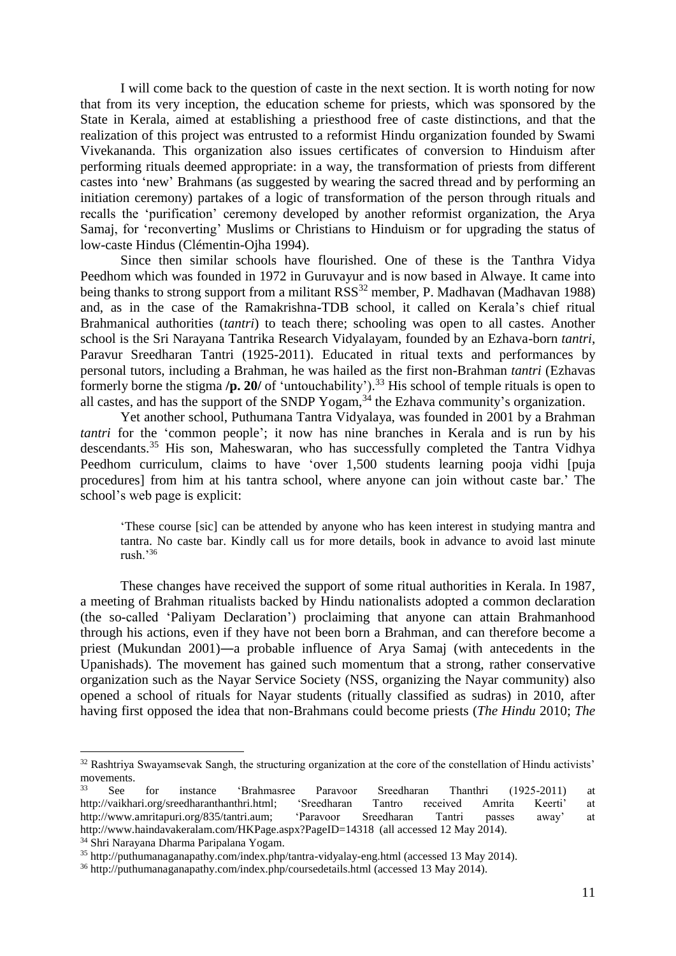I will come back to the question of caste in the next section. It is worth noting for now that from its very inception, the education scheme for priests, which was sponsored by the State in Kerala, aimed at establishing a priesthood free of caste distinctions, and that the realization of this project was entrusted to a reformist Hindu organization founded by Swami Vivekananda. This organization also issues certificates of conversion to Hinduism after performing rituals deemed appropriate: in a way, the transformation of priests from different castes into 'new' Brahmans (as suggested by wearing the sacred thread and by performing an initiation ceremony) partakes of a logic of transformation of the person through rituals and recalls the 'purification' ceremony developed by another reformist organization, the Arya Samaj, for 'reconverting' Muslims or Christians to Hinduism or for upgrading the status of low-caste Hindus (Clémentin-Ojha 1994).

Since then similar schools have flourished. One of these is the Tanthra Vidya Peedhom which was founded in 1972 in Guruvayur and is now based in Alwaye. It came into being thanks to strong support from a militant RSS<sup>32</sup> member, P. Madhavan (Madhavan 1988) and, as in the case of the Ramakrishna-TDB school, it called on Kerala's chief ritual Brahmanical authorities (*tantri*) to teach there; schooling was open to all castes. Another school is the Sri Narayana Tantrika Research Vidyalayam, founded by an Ezhava-born *tantri*, Paravur Sreedharan Tantri (1925-2011). Educated in ritual texts and performances by personal tutors, including a Brahman, he was hailed as the first non-Brahman *tantri* (Ezhavas formerly borne the stigma **/p. 20/** of 'untouchability'). <sup>33</sup> His school of temple rituals is open to all castes, and has the support of the SNDP Yogam,  $34$  the Ezhava community's organization.

Yet another school, Puthumana Tantra Vidyalaya, was founded in 2001 by a Brahman *tantri* for the 'common people'; it now has nine branches in Kerala and is run by his descendants.<sup>35</sup> His son, Maheswaran, who has successfully completed the Tantra Vidhya Peedhom curriculum, claims to have 'over 1,500 students learning pooja vidhi [puja procedures] from him at his tantra school, where anyone can join without caste bar.' The school's web page is explicit:

'These course [sic] can be attended by anyone who has keen interest in studying mantra and tantra. No caste bar. Kindly call us for more details, book in advance to avoid last minute rush $^{36}$ 

These changes have received the support of some ritual authorities in Kerala. In 1987, a meeting of Brahman ritualists backed by Hindu nationalists adopted a common declaration (the so-called 'Paliyam Declaration') proclaiming that anyone can attain Brahmanhood through his actions, even if they have not been born a Brahman, and can therefore become a priest (Mukundan 2001)―a probable influence of Arya Samaj (with antecedents in the Upanishads). The movement has gained such momentum that a strong, rather conservative organization such as the Nayar Service Society (NSS, organizing the Nayar community) also opened a school of rituals for Nayar students (ritually classified as sudras) in 2010, after having first opposed the idea that non-Brahmans could become priests (*The Hindu* 2010; *The* 

<sup>&</sup>lt;sup>32</sup> Rashtriya Swayamsevak Sangh, the structuring organization at the core of the constellation of Hindu activists' movements.

<sup>33</sup> See for instance 'Brahmasree Paravoor Sreedharan Thanthri (1925-2011) at http://vaikhari.org/sreedharanthanthri.html; 'Sreedharan Tantro received Amrita Keerti' at http://www.amritapuri.org/835/tantri.aum; 'Paravoor Sreedharan Tantri passes away' at http://www.haindavakeralam.com/HKPage.aspx?PageID=14318 (all accessed 12 May 2014).

<sup>34</sup> Shri Narayana Dharma Paripalana Yogam.

<sup>35</sup> http://puthumanaganapathy.com/index.php/tantra-vidyalay-eng.html (accessed 13 May 2014).

<sup>36</sup> http://puthumanaganapathy.com/index.php/coursedetails.html (accessed 13 May 2014).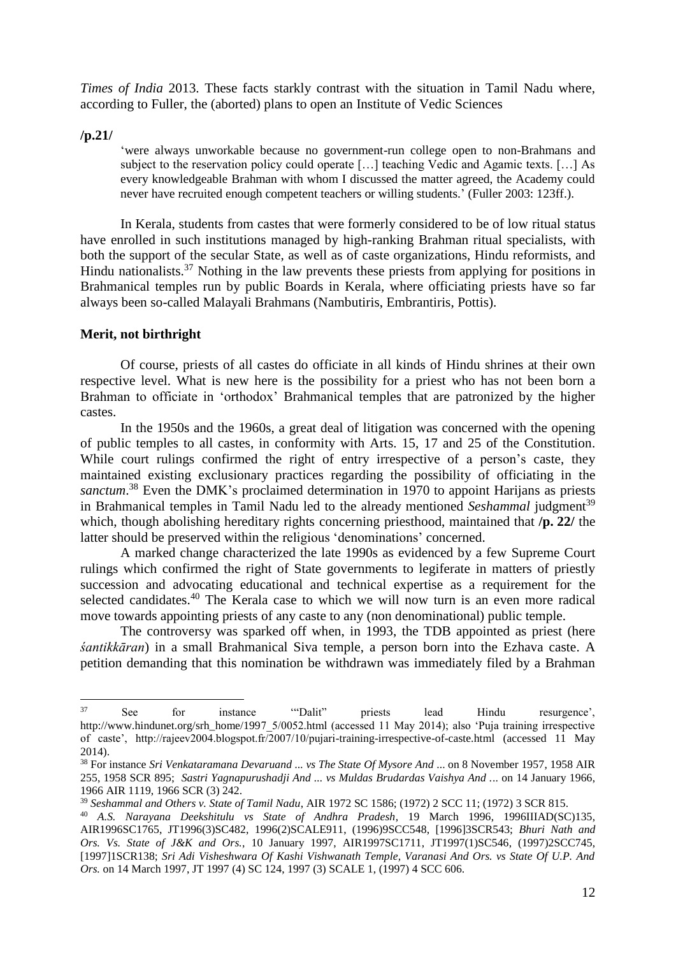*Times of India* 2013. These facts starkly contrast with the situation in Tamil Nadu where, according to Fuller, the (aborted) plans to open an Institute of Vedic Sciences

**/p.21/**

1

'were always unworkable because no government-run college open to non-Brahmans and subject to the reservation policy could operate […] teaching Vedic and Agamic texts. […] As every knowledgeable Brahman with whom I discussed the matter agreed, the Academy could never have recruited enough competent teachers or willing students.' (Fuller 2003: 123ff.).

In Kerala, students from castes that were formerly considered to be of low ritual status have enrolled in such institutions managed by high-ranking Brahman ritual specialists, with both the support of the secular State, as well as of caste organizations, Hindu reformists, and Hindu nationalists.<sup>37</sup> Nothing in the law prevents these priests from applying for positions in Brahmanical temples run by public Boards in Kerala, where officiating priests have so far always been so-called Malayali Brahmans (Nambutiris, Embrantiris, Pottis).

#### **Merit, not birthright**

Of course, priests of all castes do officiate in all kinds of Hindu shrines at their own respective level. What is new here is the possibility for a priest who has not been born a Brahman to officiate in 'orthodox' Brahmanical temples that are patronized by the higher castes.

In the 1950s and the 1960s, a great deal of litigation was concerned with the opening of public temples to all castes, in conformity with Arts. 15, 17 and 25 of the Constitution. While court rulings confirmed the right of entry irrespective of a person's caste, they maintained existing exclusionary practices regarding the possibility of officiating in the sanctum.<sup>38</sup> Even the DMK's proclaimed determination in 1970 to appoint Harijans as priests in Brahmanical temples in Tamil Nadu led to the already mentioned *Seshammal* judgment<sup>39</sup> which, though abolishing hereditary rights concerning priesthood, maintained that **/p. 22/** the latter should be preserved within the religious 'denominations' concerned.

A marked change characterized the late 1990s as evidenced by a few Supreme Court rulings which confirmed the right of State governments to legiferate in matters of priestly succession and advocating educational and technical expertise as a requirement for the selected candidates.<sup>40</sup> The Kerala case to which we will now turn is an even more radical move towards appointing priests of any caste to any (non denominational) public temple.

The controversy was sparked off when, in 1993, the TDB appointed as priest (here *śantikkāran*) in a small Brahmanical Siva temple, a person born into the Ezhava caste. A petition demanding that this nomination be withdrawn was immediately filed by a Brahman

<sup>37</sup> See for instance '"Dalit" priests lead Hindu resurgence', http://www.hindunet.org/srh\_home/1997\_5/0052.html (accessed 11 May 2014); also 'Puja training irrespective of caste', http://rajeev2004.blogspot.fr/2007/10/pujari-training-irrespective-of-caste.html (accessed 11 May 2014).

<sup>38</sup> For instance *Sri Venkataramana Devaruand ... vs The State Of Mysore And* ... on 8 November 1957, 1958 AIR 255, 1958 SCR 895; *Sastri Yagnapurushadji And ... vs Muldas Brudardas Vaishya And .*.. on 14 January 1966, 1966 AIR 1119, 1966 SCR (3) 242.

<sup>39</sup> *Seshammal and Others v. State of Tamil Nadu*, AIR 1972 SC 1586; (1972) 2 SCC 11; (1972) 3 SCR 815.

<sup>40</sup> *A.S. Narayana Deekshitulu vs State of Andhra Pradesh*, 19 March 1996, 1996IIIAD(SC)135, AIR1996SC1765, JT1996(3)SC482, 1996(2)SCALE911, (1996)9SCC548, [1996]3SCR543; *Bhuri Nath and Ors. Vs. State of J&K and Ors.*, 10 January 1997, AIR1997SC1711, JT1997(1)SC546, (1997)2SCC745, [1997]1SCR138; *Sri Adi Visheshwara Of Kashi Vishwanath Temple, Varanasi And Ors. vs State Of U.P. And Ors.* on 14 March 1997, JT 1997 (4) SC 124, 1997 (3) SCALE 1, (1997) 4 SCC 606.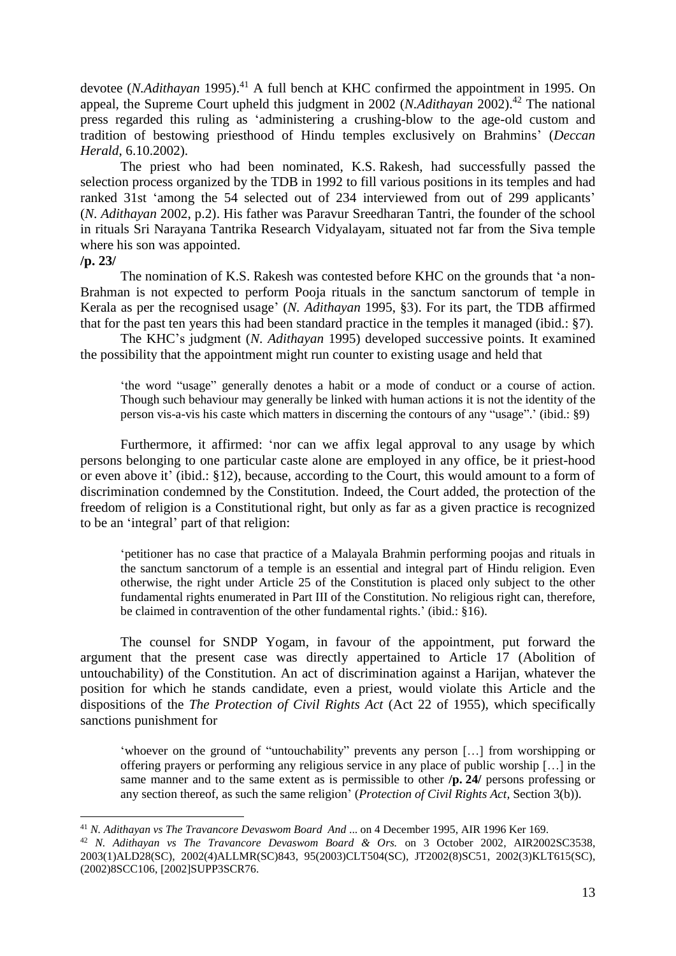devotee (*N.Adithayan* 1995). <sup>41</sup> A full bench at KHC confirmed the appointment in 1995. On appeal, the Supreme Court upheld this judgment in 2002 (*N.Adithayan* 2002).<sup>42</sup> The national press regarded this ruling as 'administering a crushing-blow to the age-old custom and tradition of bestowing priesthood of Hindu temples exclusively on Brahmins' (*Deccan Herald*, 6.10.2002).

The priest who had been nominated, K.S. Rakesh, had successfully passed the selection process organized by the TDB in 1992 to fill various positions in its temples and had ranked 31st 'among the 54 selected out of 234 interviewed from out of 299 applicants' (*N. Adithayan* 2002, p.2). His father was Paravur Sreedharan Tantri, the founder of the school in rituals Sri Narayana Tantrika Research Vidyalayam, situated not far from the Siva temple where his son was appointed.

#### **/p. 23/**

1

The nomination of K.S. Rakesh was contested before KHC on the grounds that 'a non-Brahman is not expected to perform Pooja rituals in the sanctum sanctorum of temple in Kerala as per the recognised usage' (*N. Adithayan* 1995, §3). For its part, the TDB affirmed that for the past ten years this had been standard practice in the temples it managed (ibid.: §7).

The KHC's judgment (*N. Adithayan* 1995) developed successive points. It examined the possibility that the appointment might run counter to existing usage and held that

'the word "usage" generally denotes a habit or a mode of conduct or a course of action. Though such behaviour may generally be linked with human actions it is not the identity of the person vis-a-vis his caste which matters in discerning the contours of any "usage".' (ibid.: §9)

Furthermore, it affirmed: 'nor can we affix legal approval to any usage by which persons belonging to one particular caste alone are employed in any office, be it priest-hood or even above it' (ibid.: §12), because, according to the Court, this would amount to a form of discrimination condemned by the Constitution. Indeed, the Court added, the protection of the freedom of religion is a Constitutional right, but only as far as a given practice is recognized to be an 'integral' part of that religion:

'petitioner has no case that practice of a Malayala Brahmin performing poojas and rituals in the sanctum sanctorum of a temple is an essential and integral part of Hindu religion. Even otherwise, the right under Article 25 of the Constitution is placed only subject to the other fundamental rights enumerated in Part III of the Constitution. No religious right can, therefore, be claimed in contravention of the other fundamental rights.' (ibid.: §16).

The counsel for SNDP Yogam, in favour of the appointment, put forward the argument that the present case was directly appertained to Article 17 (Abolition of untouchability) of the Constitution. An act of discrimination against a Harijan, whatever the position for which he stands candidate, even a priest, would violate this Article and the dispositions of the *The Protection of Civil Rights Act* (Act 22 of 1955), which specifically sanctions punishment for

'whoever on the ground of "untouchability" prevents any person […] from worshipping or offering prayers or performing any religious service in any place of public worship […] in the same manner and to the same extent as is permissible to other **/p. 24/** persons professing or any section thereof, as such the same religion' (*Protection of Civil Rights Act,* Section 3(b)).

<sup>41</sup> *N. Adithayan vs The Travancore Devaswom Board And* ... on 4 December 1995, AIR 1996 Ker 169.

<sup>42</sup> *N. Adithayan vs The Travancore Devaswom Board & Ors.* on 3 October 2002, AIR2002SC3538, 2003(1)ALD28(SC), 2002(4)ALLMR(SC)843, 95(2003)CLT504(SC), JT2002(8)SC51, 2002(3)KLT615(SC), (2002)8SCC106, [2002]SUPP3SCR76.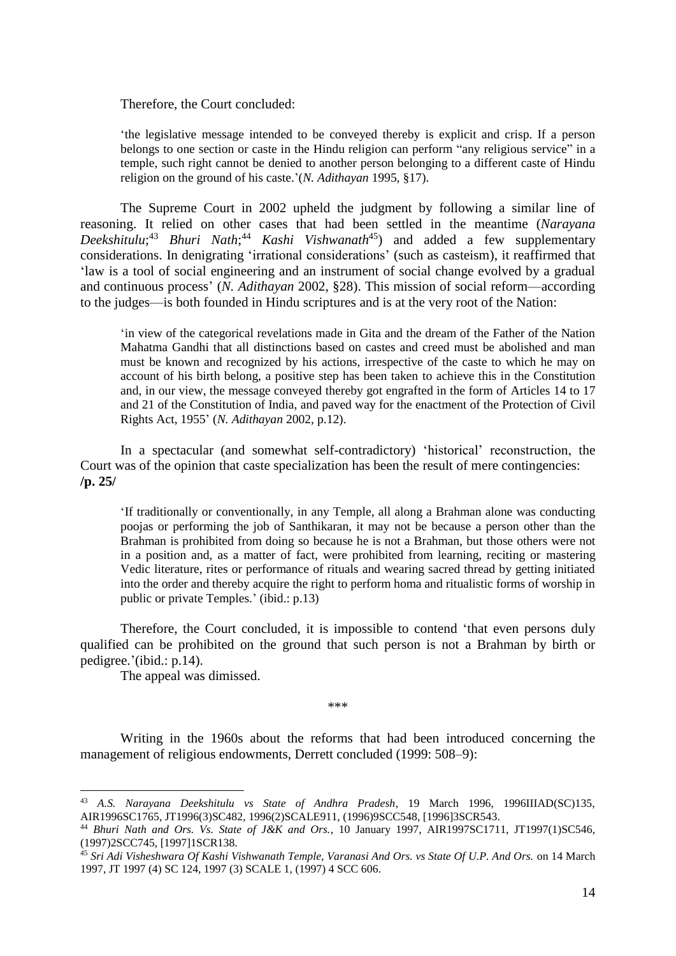Therefore, the Court concluded:

'the legislative message intended to be conveyed thereby is explicit and crisp. If a person belongs to one section or caste in the Hindu religion can perform "any religious service" in a temple, such right cannot be denied to another person belonging to a different caste of Hindu religion on the ground of his caste.'(*N. Adithayan* 1995, §17).

The Supreme Court in 2002 upheld the judgment by following a similar line of reasoning. It relied on other cases that had been settled in the meantime (*Narayana Deekshitulu*; <sup>43</sup> *Bhuri Nath*; <sup>44</sup> *Kashi Vishwanath*<sup>45</sup>) and added a few supplementary considerations. In denigrating 'irrational considerations' (such as casteism), it reaffirmed that 'law is a tool of social engineering and an instrument of social change evolved by a gradual and continuous process' (*N. Adithayan* 2002, §28). This mission of social reform—according to the judges—is both founded in Hindu scriptures and is at the very root of the Nation:

'in view of the categorical revelations made in Gita and the dream of the Father of the Nation Mahatma Gandhi that all distinctions based on castes and creed must be abolished and man must be known and recognized by his actions, irrespective of the caste to which he may on account of his birth belong, a positive step has been taken to achieve this in the Constitution and, in our view, the message conveyed thereby got engrafted in the form of Articles 14 to 17 and 21 of the Constitution of India, and paved way for the enactment of the Protection of Civil Rights Act, 1955' (*N. Adithayan* 2002, p.12).

In a spectacular (and somewhat self-contradictory) 'historical' reconstruction, the Court was of the opinion that caste specialization has been the result of mere contingencies: **/p. 25/**

'If traditionally or conventionally, in any Temple, all along a Brahman alone was conducting poojas or performing the job of Santhikaran, it may not be because a person other than the Brahman is prohibited from doing so because he is not a Brahman, but those others were not in a position and, as a matter of fact, were prohibited from learning, reciting or mastering Vedic literature, rites or performance of rituals and wearing sacred thread by getting initiated into the order and thereby acquire the right to perform homa and ritualistic forms of worship in public or private Temples.' (ibid.: p.13)

Therefore, the Court concluded, it is impossible to contend 'that even persons duly qualified can be prohibited on the ground that such person is not a Brahman by birth or pedigree.'(ibid.: p.14).

The appeal was dimissed.

<u>.</u>

\*\*\*

Writing in the 1960s about the reforms that had been introduced concerning the management of religious endowments, Derrett concluded (1999: 508–9):

<sup>43</sup> *A.S. Narayana Deekshitulu vs State of Andhra Pradesh*, 19 March 1996, 1996IIIAD(SC)135, AIR1996SC1765, JT1996(3)SC482, 1996(2)SCALE911, (1996)9SCC548, [1996]3SCR543.

<sup>44</sup> *Bhuri Nath and Ors. Vs. State of J&K and Ors.*, 10 January 1997, AIR1997SC1711, JT1997(1)SC546, (1997)2SCC745, [1997]1SCR138.

<sup>45</sup> *Sri Adi Visheshwara Of Kashi Vishwanath Temple, Varanasi And Ors. vs State Of U.P. And Ors.* on 14 March 1997, JT 1997 (4) SC 124, 1997 (3) SCALE 1, (1997) 4 SCC 606.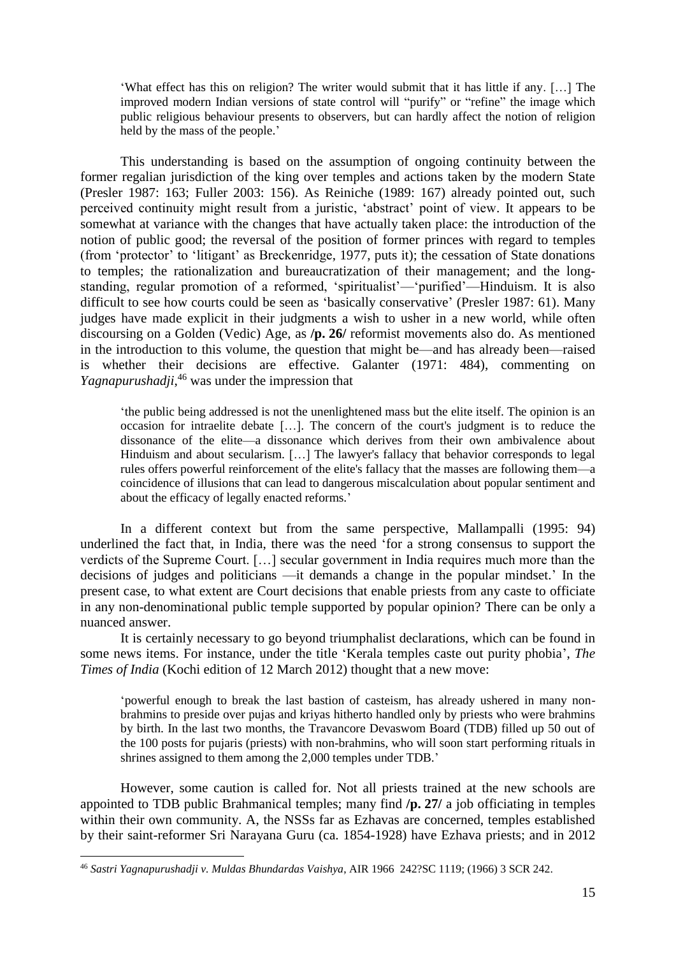'What effect has this on religion? The writer would submit that it has little if any. […] The improved modern Indian versions of state control will "purify" or "refine" the image which public religious behaviour presents to observers, but can hardly affect the notion of religion held by the mass of the people.'

This understanding is based on the assumption of ongoing continuity between the former regalian jurisdiction of the king over temples and actions taken by the modern State (Presler 1987: 163; Fuller 2003: 156). As Reiniche (1989: 167) already pointed out, such perceived continuity might result from a juristic, 'abstract' point of view. It appears to be somewhat at variance with the changes that have actually taken place: the introduction of the notion of public good; the reversal of the position of former princes with regard to temples (from 'protector' to 'litigant' as Breckenridge, 1977, puts it); the cessation of State donations to temples; the rationalization and bureaucratization of their management; and the longstanding, regular promotion of a reformed, 'spiritualist'—'purified'—Hinduism. It is also difficult to see how courts could be seen as 'basically conservative' (Presler 1987: 61). Many judges have made explicit in their judgments a wish to usher in a new world, while often discoursing on a Golden (Vedic) Age, as **/p. 26/** reformist movements also do. As mentioned in the introduction to this volume, the question that might be—and has already been—raised is whether their decisions are effective. Galanter (1971: 484), commenting on *Yagnapurushadji*, <sup>46</sup> was under the impression that

'the public being addressed is not the unenlightened mass but the elite itself. The opinion is an occasion for intraelite debate […]. The concern of the court's judgment is to reduce the dissonance of the elite—a dissonance which derives from their own ambivalence about Hinduism and about secularism. […] The lawyer's fallacy that behavior corresponds to legal rules offers powerful reinforcement of the elite's fallacy that the masses are following them—a coincidence of illusions that can lead to dangerous miscalculation about popular sentiment and about the efficacy of legally enacted reforms.'

In a different context but from the same perspective, Mallampalli (1995: 94) underlined the fact that, in India, there was the need 'for a strong consensus to support the verdicts of the Supreme Court. […] secular government in India requires much more than the decisions of judges and politicians —it demands a change in the popular mindset.' In the present case, to what extent are Court decisions that enable priests from any caste to officiate in any non-denominational public temple supported by popular opinion? There can be only a nuanced answer.

It is certainly necessary to go beyond triumphalist declarations, which can be found in some news items. For instance, under the title 'Kerala temples caste out purity phobia', *The Times of India* (Kochi edition of 12 March 2012) thought that a new move:

'powerful enough to break the last bastion of casteism, has already ushered in many nonbrahmins to preside over pujas and kriyas hitherto handled only by priests who were brahmins by birth. In the last two months, the Travancore Devaswom Board (TDB) filled up 50 out of the 100 posts for pujaris (priests) with non-brahmins, who will soon start performing rituals in shrines assigned to them among the 2,000 temples under TDB.'

However, some caution is called for. Not all priests trained at the new schools are appointed to TDB public Brahmanical temples; many find **/p. 27/** a job officiating in temples within their own community. A, the NSSs far as Ezhavas are concerned, temples established by their saint-reformer Sri Narayana Guru (ca. 1854-1928) have Ezhava priests; and in 2012

<sup>46</sup> *Sastri Yagnapurushadji v. Muldas Bhundardas Vaishya*, AIR 1966 242?SC 1119; (1966) 3 SCR 242.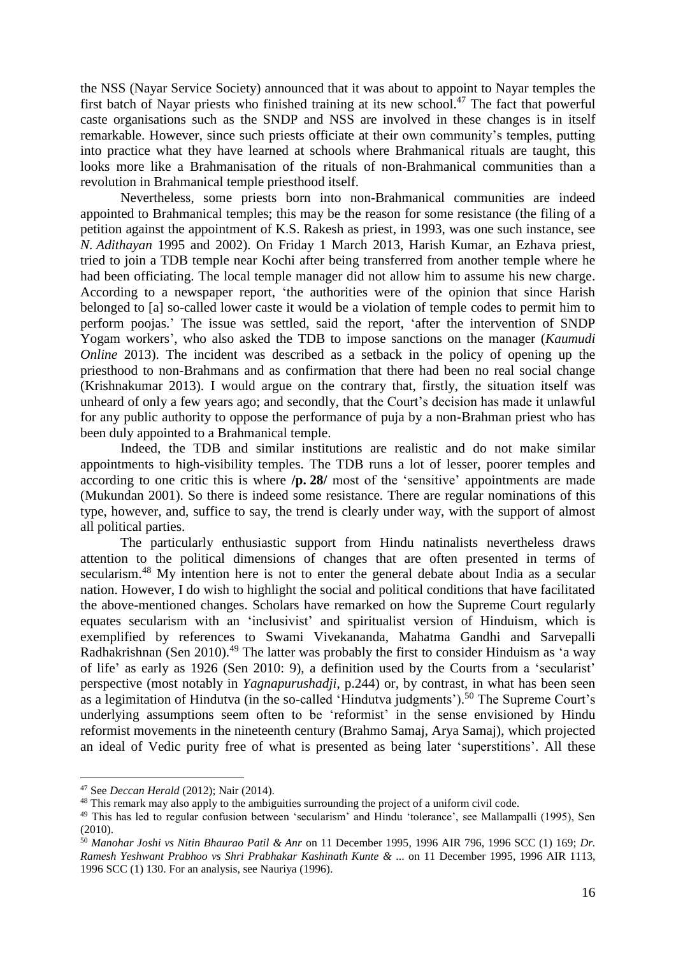the NSS (Nayar Service Society) announced that it was about to appoint to Nayar temples the first batch of Nayar priests who finished training at its new school.<sup>47</sup> The fact that powerful caste organisations such as the SNDP and NSS are involved in these changes is in itself remarkable. However, since such priests officiate at their own community's temples, putting into practice what they have learned at schools where Brahmanical rituals are taught, this looks more like a Brahmanisation of the rituals of non-Brahmanical communities than a revolution in Brahmanical temple priesthood itself.

Nevertheless, some priests born into non-Brahmanical communities are indeed appointed to Brahmanical temples; this may be the reason for some resistance (the filing of a petition against the appointment of K.S. Rakesh as priest, in 1993, was one such instance, see *N. Adithayan* 1995 and 2002). On Friday 1 March 2013, Harish Kumar, an Ezhava priest, tried to join a TDB temple near Kochi after being transferred from another temple where he had been officiating. The local temple manager did not allow him to assume his new charge. According to a newspaper report, 'the authorities were of the opinion that since Harish belonged to [a] so-called lower caste it would be a violation of temple codes to permit him to perform poojas.' The issue was settled, said the report, 'after the intervention of SNDP Yogam workers', who also asked the TDB to impose sanctions on the manager (*Kaumudi Online* 2013). The incident was described as a setback in the policy of opening up the priesthood to non-Brahmans and as confirmation that there had been no real social change (Krishnakumar 2013). I would argue on the contrary that, firstly, the situation itself was unheard of only a few years ago; and secondly, that the Court's decision has made it unlawful for any public authority to oppose the performance of puja by a non-Brahman priest who has been duly appointed to a Brahmanical temple.

Indeed, the TDB and similar institutions are realistic and do not make similar appointments to high-visibility temples. The TDB runs a lot of lesser, poorer temples and according to one critic this is where **/p. 28/** most of the 'sensitive' appointments are made (Mukundan 2001). So there is indeed some resistance. There are regular nominations of this type, however, and, suffice to say, the trend is clearly under way, with the support of almost all political parties.

The particularly enthusiastic support from Hindu natinalists nevertheless draws attention to the political dimensions of changes that are often presented in terms of secularism.<sup>48</sup> My intention here is not to enter the general debate about India as a secular nation. However, I do wish to highlight the social and political conditions that have facilitated the above-mentioned changes. Scholars have remarked on how the Supreme Court regularly equates secularism with an 'inclusivist' and spiritualist version of Hinduism, which is exemplified by references to Swami Vivekananda, Mahatma Gandhi and Sarvepalli Radhakrishnan (Sen 2010).<sup>49</sup> The latter was probably the first to consider Hinduism as 'a way of life' as early as 1926 (Sen 2010: 9), a definition used by the Courts from a 'secularist' perspective (most notably in *Yagnapurushadji*, p.244) or, by contrast, in what has been seen as a legimitation of Hindutva (in the so-called 'Hindutva judgments').<sup>50</sup> The Supreme Court's underlying assumptions seem often to be 'reformist' in the sense envisioned by Hindu reformist movements in the nineteenth century (Brahmo Samaj, Arya Samaj), which projected an ideal of Vedic purity free of what is presented as being later 'superstitions'. All these

<sup>47</sup> See *Deccan Herald* (2012); Nair (2014).

<sup>&</sup>lt;sup>48</sup> This remark may also apply to the ambiguities surrounding the project of a uniform civil code.

<sup>&</sup>lt;sup>49</sup> This has led to regular confusion between 'secularism' and Hindu 'tolerance', see Mallampalli (1995), Sen (2010).

<sup>50</sup> *Manohar Joshi vs Nitin Bhaurao Patil & Anr* on 11 December 1995, 1996 AIR 796, 1996 SCC (1) 169; *Dr. Ramesh Yeshwant Prabhoo vs Shri Prabhakar Kashinath Kunte &* ... on 11 December 1995, 1996 AIR 1113, 1996 SCC (1) 130. For an analysis, see Nauriya (1996).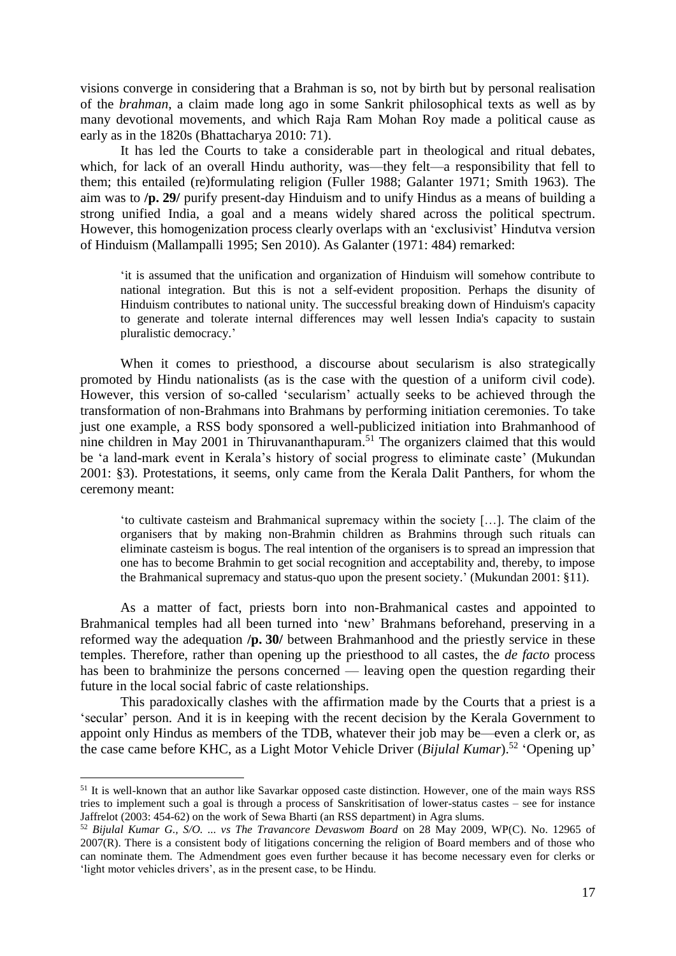visions converge in considering that a Brahman is so, not by birth but by personal realisation of the *brahman*, a claim made long ago in some Sankrit philosophical texts as well as by many devotional movements, and which Raja Ram Mohan Roy made a political cause as early as in the 1820s (Bhattacharya 2010: 71).

It has led the Courts to take a considerable part in theological and ritual debates, which, for lack of an overall Hindu authority, was—they felt—a responsibility that fell to them; this entailed (re)formulating religion (Fuller 1988; Galanter 1971; Smith 1963). The aim was to **/p. 29/** purify present-day Hinduism and to unify Hindus as a means of building a strong unified India, a goal and a means widely shared across the political spectrum. However, this homogenization process clearly overlaps with an 'exclusivist' Hindutva version of Hinduism (Mallampalli 1995; Sen 2010). As Galanter (1971: 484) remarked:

'it is assumed that the unification and organization of Hinduism will somehow contribute to national integration. But this is not a self-evident proposition. Perhaps the disunity of Hinduism contributes to national unity. The successful breaking down of Hinduism's capacity to generate and tolerate internal differences may well lessen India's capacity to sustain pluralistic democracy.'

When it comes to priesthood, a discourse about secularism is also strategically promoted by Hindu nationalists (as is the case with the question of a uniform civil code). However, this version of so-called 'secularism' actually seeks to be achieved through the transformation of non-Brahmans into Brahmans by performing initiation ceremonies. To take just one example, a RSS body sponsored a well-publicized initiation into Brahmanhood of nine children in May 2001 in Thiruvananthapuram.<sup>51</sup> The organizers claimed that this would be 'a land-mark event in Kerala's history of social progress to eliminate caste' (Mukundan 2001: §3). Protestations, it seems, only came from the Kerala Dalit Panthers, for whom the ceremony meant:

'to cultivate casteism and Brahmanical supremacy within the society […]. The claim of the organisers that by making non-Brahmin children as Brahmins through such rituals can eliminate casteism is bogus. The real intention of the organisers is to spread an impression that one has to become Brahmin to get social recognition and acceptability and, thereby, to impose the Brahmanical supremacy and status-quo upon the present society.' (Mukundan 2001: §11).

As a matter of fact, priests born into non-Brahmanical castes and appointed to Brahmanical temples had all been turned into 'new' Brahmans beforehand, preserving in a reformed way the adequation **/p. 30/** between Brahmanhood and the priestly service in these temples. Therefore, rather than opening up the priesthood to all castes, the *de facto* process has been to brahminize the persons concerned — leaving open the question regarding their future in the local social fabric of caste relationships.

This paradoxically clashes with the affirmation made by the Courts that a priest is a 'secular' person. And it is in keeping with the recent decision by the Kerala Government to appoint only Hindus as members of the TDB, whatever their job may be—even a clerk or, as the case came before KHC, as a Light Motor Vehicle Driver (*Bijulal Kumar*).<sup>52</sup> 'Opening up'

<sup>&</sup>lt;sup>51</sup> It is well-known that an author like Savarkar opposed caste distinction. However, one of the main ways RSS tries to implement such a goal is through a process of Sanskritisation of lower-status castes – see for instance Jaffrelot (2003: 454-62) on the work of Sewa Bharti (an RSS department) in Agra slums.

<sup>52</sup> *Bijulal Kumar G., S/O. ... vs The Travancore Devaswom Board* on 28 May 2009, WP(C). No. 12965 of 2007(R). There is a consistent body of litigations concerning the religion of Board members and of those who can nominate them. The Admendment goes even further because it has become necessary even for clerks or 'light motor vehicles drivers', as in the present case, to be Hindu.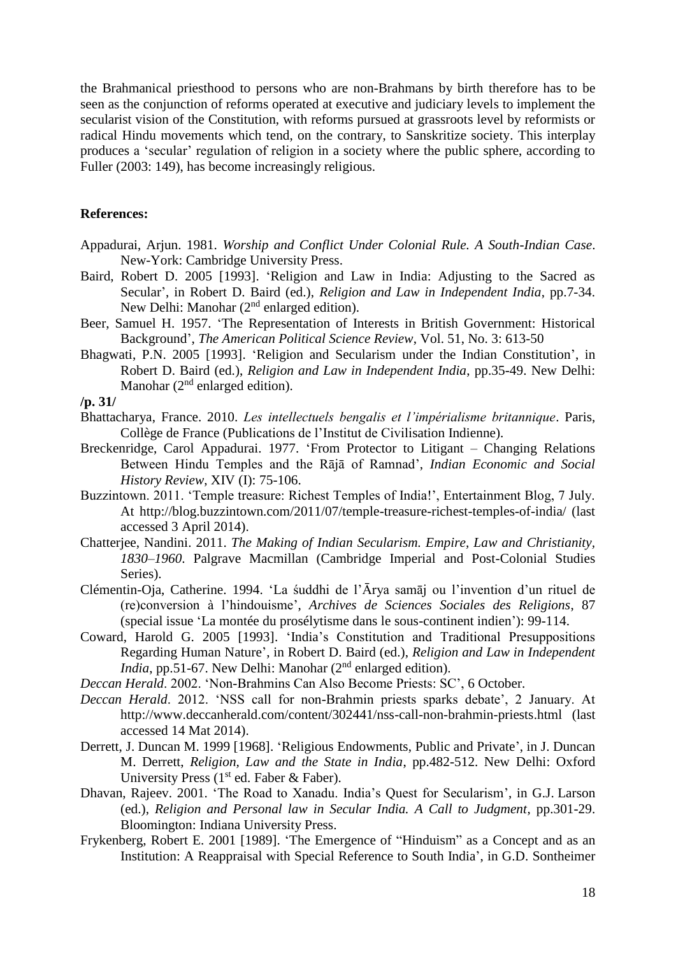the Brahmanical priesthood to persons who are non-Brahmans by birth therefore has to be seen as the conjunction of reforms operated at executive and judiciary levels to implement the secularist vision of the Constitution, with reforms pursued at grassroots level by reformists or radical Hindu movements which tend, on the contrary, to Sanskritize society. This interplay produces a 'secular' regulation of religion in a society where the public sphere, according to Fuller (2003: 149), has become increasingly religious.

#### **References:**

- Appadurai, Arjun. 1981. *Worship and Conflict Under Colonial Rule. A South-Indian Case*. New-York: Cambridge University Press.
- Baird, Robert D. 2005 [1993]. 'Religion and Law in India: Adjusting to the Sacred as Secular', in Robert D. Baird (ed.), *Religion and Law in Independent India*, pp.7-34. New Delhi: Manohar  $(2<sup>nd</sup>$  enlarged edition).
- Beer, Samuel H. 1957. 'The Representation of Interests in British Government: Historical Background', *The American Political Science Review*, Vol. 51, No. 3: 613-50
- Bhagwati, P.N. 2005 [1993]. 'Religion and Secularism under the Indian Constitution', in Robert D. Baird (ed.), *Religion and Law in Independent India*, pp.35-49. New Delhi: Manohar  $(2<sup>nd</sup>$  enlarged edition).

#### **/p. 31/**

- Bhattacharya, France. 2010. *Les intellectuels bengalis et l'impérialisme britannique*. Paris, Collège de France (Publications de l'Institut de Civilisation Indienne).
- Breckenridge, Carol Appadurai. 1977. 'From Protector to Litigant Changing Relations Between Hindu Temples and the Rājā of Ramnad', *Indian Economic and Social History Review*, XIV (I): 75-106.
- Buzzintown. 2011. 'Temple treasure: Richest Temples of India!', Entertainment Blog, 7 July. At http://blog.buzzintown.com/2011/07/temple-treasure-richest-temples-of-india/ (last accessed 3 April 2014).
- Chatterjee, Nandini. 2011. *The Making of Indian Secularism. Empire, Law and Christianity, 1830–1960*. Palgrave Macmillan (Cambridge Imperial and Post-Colonial Studies Series).
- Clémentin-Oja, Catherine. 1994. 'La śuddhi de l'Ārya samāj ou l'invention d'un rituel de (re)conversion à l'hindouisme', *Archives de Sciences Sociales des Religions*, 87 (special issue 'La montée du prosélytisme dans le sous-continent indien'): 99-114.
- Coward, Harold G. 2005 [1993]. 'India's Constitution and Traditional Presuppositions Regarding Human Nature', in Robert D. Baird (ed.), *Religion and Law in Independent India*, pp.51-67. New Delhi: Manohar (2<sup>nd</sup> enlarged edition).
- *Deccan Herald*. 2002. 'Non-Brahmins Can Also Become Priests: SC', 6 October.
- *Deccan Herald*. 2012. 'NSS call for non-Brahmin priests sparks debate', 2 January. At http://www.deccanherald.com/content/302441/nss-call-non-brahmin-priests.html (last accessed 14 Mat 2014).
- Derrett, J. Duncan M. 1999 [1968]. 'Religious Endowments, Public and Private', in J. Duncan M. Derrett, *Religion, Law and the State in India*, pp.482-512. New Delhi: Oxford University Press ( $1<sup>st</sup>$  ed. Faber & Faber).
- Dhavan, Rajeev. 2001. 'The Road to Xanadu. India's Quest for Secularism', in G.J. Larson (ed.), *Religion and Personal law in Secular India. A Call to Judgment*, pp.301-29. Bloomington: Indiana University Press.
- Frykenberg, Robert E. 2001 [1989]. 'The Emergence of "Hinduism" as a Concept and as an Institution: A Reappraisal with Special Reference to South India', in G.D. Sontheimer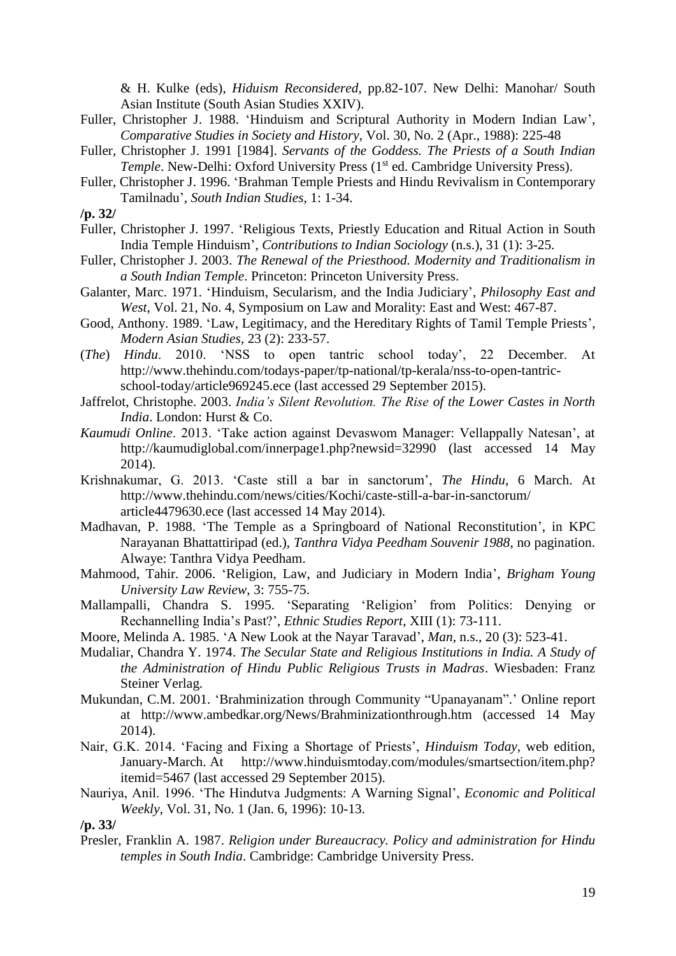& H. Kulke (eds), *Hiduism Reconsidered*, pp.82-107. New Delhi: Manohar/ South Asian Institute (South Asian Studies XXIV).

- Fuller, Christopher J. 1988. 'Hinduism and Scriptural Authority in Modern Indian Law', *Comparative Studies in Society and History*, Vol. 30, No. 2 (Apr., 1988): 225-48
- Fuller, Christopher J. 1991 [1984]. *Servants of the Goddess. The Priests of a South Indian Temple*. New-Delhi: Oxford University Press (1<sup>st</sup> ed. Cambridge University Press).
- Fuller, Christopher J. 1996. 'Brahman Temple Priests and Hindu Revivalism in Contemporary Tamilnadu', *South Indian Studies*, 1: 1-34.

- Fuller, Christopher J. 1997. 'Religious Texts, Priestly Education and Ritual Action in South India Temple Hinduism', *Contributions to Indian Sociology* (n.s.), 31 (1): 3-25.
- Fuller, Christopher J. 2003. *The Renewal of the Priesthood. Modernity and Traditionalism in a South Indian Temple*. Princeton: Princeton University Press.
- Galanter, Marc. 1971. 'Hinduism, Secularism, and the India Judiciary', *Philosophy East and West*, Vol. 21, No. 4, Symposium on Law and Morality: East and West: 467-87.
- Good, Anthony. 1989. 'Law, Legitimacy, and the Hereditary Rights of Tamil Temple Priests', *Modern Asian Studies*, 23 (2): 233-57.
- (*The*) *Hindu*. 2010. 'NSS to open tantric school today', 22 December. At http://www.thehindu.com/todays-paper/tp-national/tp-kerala/nss-to-open-tantricschool-today/article969245.ece (last accessed 29 September 2015).
- Jaffrelot, Christophe. 2003. *India's Silent Revolution. The Rise of the Lower Castes in North India*. London: Hurst & Co.
- *Kaumudi Online*. 2013. 'Take action against Devaswom Manager: Vellappally Natesan', at http://kaumudiglobal.com/innerpage1.php?newsid=32990 (last accessed 14 May 2014).
- Krishnakumar, G. 2013. 'Caste still a bar in sanctorum', *The Hindu*, 6 March. At http://www.thehindu.com/news/cities/Kochi/caste-still-a-bar-in-sanctorum/ article4479630.ece (last accessed 14 May 2014).
- Madhavan, P. 1988. 'The Temple as a Springboard of National Reconstitution', in KPC Narayanan Bhattattiripad (ed.), *Tanthra Vidya Peedham Souvenir 1988*, no pagination. Alwaye: Tanthra Vidya Peedham.
- Mahmood, Tahir. 2006. 'Religion, Law, and Judiciary in Modern India', *Brigham Young University Law Review*, 3: 755-75.
- Mallampalli, Chandra S. 1995. 'Separating 'Religion' from Politics: Denying or Rechannelling India's Past?', *Ethnic Studies Report*, XIII (1): 73-111.
- Moore, Melinda A. 1985. 'A New Look at the Nayar Taravad', *Man*, n.s., 20 (3): 523-41.
- Mudaliar, Chandra Y. 1974. *The Secular State and Religious Institutions in India. A Study of the Administration of Hindu Public Religious Trusts in Madras*. Wiesbaden: Franz Steiner Verlag.
- Mukundan, C.M. 2001. 'Brahminization through Community "Upanayanam".' Online report at http://www.ambedkar.org/News/Brahminizationthrough.htm (accessed 14 May 2014).
- Nair, G.K. 2014. 'Facing and Fixing a Shortage of Priests', *Hinduism Today*, web edition, January-March. At http://www.hinduismtoday.com/modules/smartsection/item.php? itemid=5467 (last accessed 29 September 2015).
- Nauriya, Anil. 1996. 'The Hindutva Judgments: A Warning Signal', *Economic and Political Weekly*, Vol. 31, No. 1 (Jan. 6, 1996): 10-13.

Presler, Franklin A. 1987. *Religion under Bureaucracy. Policy and administration for Hindu temples in South India*. Cambridge: Cambridge University Press.

**<sup>/</sup>p. 32/**

**<sup>/</sup>p. 33/**